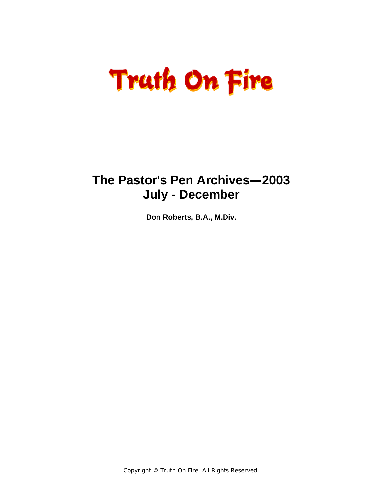# **Truth On Fire**

## **The Pastor's Pen Archives—2003 July - December**

**Don Roberts, B.A., M.Div.** 

Copyright © Truth On Fire. All Rights Reserved.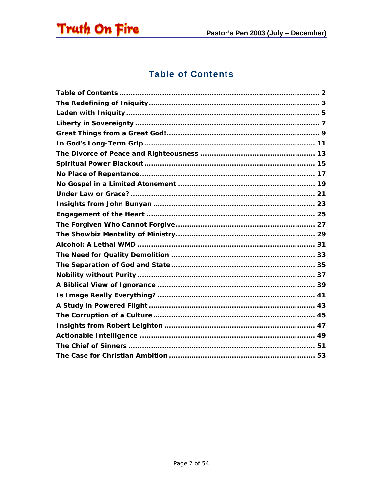<span id="page-1-0"></span>

#### **Table of Contents**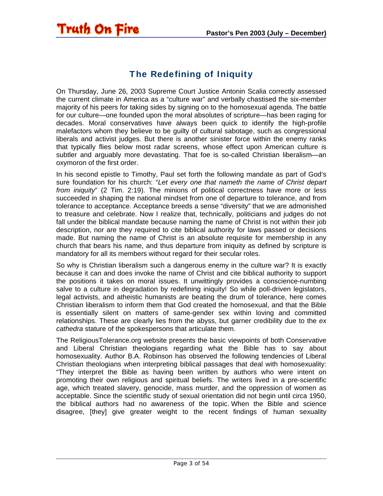#### The Redefining of Iniquity

<span id="page-2-0"></span>**Truth On Fire** 

On Thursday, June 26, 2003 Supreme Court Justice Antonin Scalia correctly assessed the current climate in America as a "culture war" and verbally chastised the six-member majority of his peers for taking sides by signing on to the homosexual agenda. The battle for our culture—one founded upon the moral absolutes of scripture—has been raging for decades. Moral conservatives have always been quick to identify the high-profile malefactors whom they believe to be guilty of cultural sabotage, such as congressional liberals and activist judges. But there is another sinister force within the enemy ranks that typically flies below most radar screens, whose effect upon American culture is subtler and arguably more devastating. That foe is so-called Christian liberalism—an oxymoron of the first order.

In his second epistle to Timothy, Paul set forth the following mandate as part of God's sure foundation for his church: "*Let every one that nameth the name of Christ depart from iniquity*" (2 Tim. 2:19). The minions of political correctness have more or less succeeded in shaping the national mindset from one of departure to tolerance, and from tolerance to acceptance. Acceptance breeds a sense "diversity" that we are admonished to treasure and celebrate. Now I realize that, technically, politicians and judges do not fall under the biblical mandate because naming the name of Christ is not within their job description, nor are they required to cite biblical authority for laws passed or decisions made. But naming the name of Christ is an absolute requisite for membership in any church that bears his name, and thus departure from iniquity as defined by scripture is mandatory for all its members without regard for their secular roles.

So why is Christian liberalism such a dangerous enemy in the culture war? It is exactly because it can and does invoke the name of Christ and cite biblical authority to support the positions it takes on moral issues. It unwittingly provides a conscience-numbing salve to a culture in degradation by redefining iniquity! So while poll-driven legislators, legal activists, and atheistic humanists are beating the drum of tolerance, here comes Christian liberalism to inform them that God created the homosexual, and that the Bible is essentially silent on matters of same-gender sex within loving and committed relationships. These are clearly lies from the abyss, but garner credibility due to the *ex cathedra* stature of the spokespersons that articulate them.

The ReligiousTolerance.org website presents the basic viewpoints of both Conservative and Liberal Christian theologians regarding what the Bible has to say about homosexuality. Author B.A. Robinson has observed the following tendencies of Liberal Christian theologians when interpreting biblical passages that deal with homosexuality: "They interpret the Bible as having been written by authors who were intent on promoting their own religious and spiritual beliefs. The writers lived in a pre-scientific age, which treated slavery, genocide, mass murder, and the oppression of women as acceptable. Since the scientific study of sexual orientation did not begin until circa 1950, the biblical authors had no awareness of the topic. When the Bible and science disagree, [they] give greater weight to the recent findings of human sexuality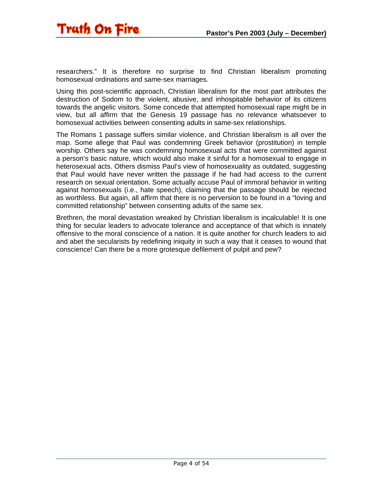

researchers." It is therefore no surprise to find Christian liberalism promoting homosexual ordinations and same-sex marriages.

Using this post-scientific approach, Christian liberalism for the most part attributes the destruction of Sodom to the violent, abusive, and inhospitable behavior of its citizens towards the angelic visitors. Some concede that attempted homosexual rape might be in view, but all affirm that the Genesis 19 passage has no relevance whatsoever to homosexual activities between consenting adults in same-sex relationships.

The Romans 1 passage suffers similar violence, and Christian liberalism is all over the map. Some allege that Paul was condemning Greek behavior (prostitution) in temple worship. Others say he was condemning homosexual acts that were committed against a person's basic nature, which would also make it sinful for a homosexual to engage in heterosexual acts. Others dismiss Paul's view of homosexuality as outdated, suggesting that Paul would have never written the passage if he had had access to the current research on sexual orientation. Some actually accuse Paul of immoral behavior in writing against homosexuals (i.e., hate speech), claiming that the passage should be rejected as worthless. But again, all affirm that there is no perversion to be found in a "loving and committed relationship" between consenting adults of the same sex.

Brethren, the moral devastation wreaked by Christian liberalism is incalculable! It is one thing for secular leaders to advocate tolerance and acceptance of that which is innately offensive to the moral conscience of a nation. It is quite another for church leaders to aid and abet the secularists by redefining iniquity in such a way that it ceases to wound that conscience! Can there be a more grotesque defilement of pulpit and pew?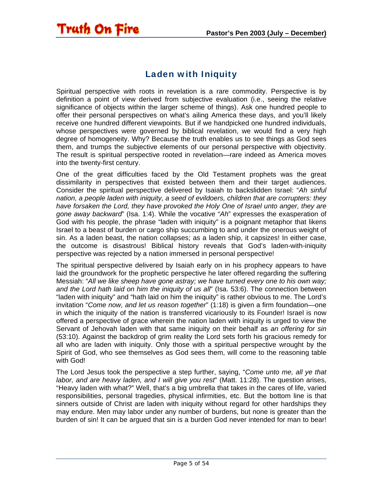#### Laden with Iniquity

<span id="page-4-0"></span>**Truth On Fire** 

Spiritual perspective with roots in revelation is a rare commodity. Perspective is by definition a point of view derived from subjective evaluation (i.e., seeing the relative significance of objects within the larger scheme of things). Ask one hundred people to offer their personal perspectives on what's ailing America these days, and you'll likely receive one hundred different viewpoints. But if we handpicked one hundred individuals, whose perspectives were governed by biblical revelation, we would find a very high degree of homogeneity. Why? Because the truth enables us to see things as God sees them, and trumps the subjective elements of our personal perspective with objectivity. The result is spiritual perspective rooted in revelation—rare indeed as America moves into the twenty-first century.

One of the great difficulties faced by the Old Testament prophets was the great dissimilarity in perspectives that existed between them and their target audiences. Consider the spiritual perspective delivered by Isaiah to backslidden Israel: "*Ah sinful nation, a people laden with iniquity, a seed of evildoers, children that are corrupters: they have forsaken the Lord, they have provoked the Holy One of Israel unto anger, they are gone away backward*" (Isa. 1:4). While the vocative "*Ah*" expresses the exasperation of God with his people, the phrase "laden with iniquity" is a poignant metaphor that likens Israel to a beast of burden or cargo ship succumbing to and under the onerous weight of sin. As a laden beast, the nation collapses; as a laden ship, it capsizes! In either case, the outcome is disastrous! Biblical history reveals that God's laden-with-iniquity perspective was rejected by a nation immersed in personal perspective!

The spiritual perspective delivered by Isaiah early on in his prophecy appears to have laid the groundwork for the prophetic perspective he later offered regarding the suffering Messiah: "*All we like sheep have gone astray; we have turned every one to his own way; and the Lord hath laid on him the iniquity of us all*" (Isa. 53:6). The connection between "laden with iniquity" and "hath laid on him the iniquity" is rather obvious to me. The Lord's invitation "*Come now, and let us reason together*" (1:18) is given a firm foundation—one in which the iniquity of the nation is transferred vicariously to its Founder! Israel is now offered a perspective of grace wherein the nation laden with iniquity is urged to view the Servant of Jehovah laden with that same iniquity on their behalf as *an offering for sin* (53:10). Against the backdrop of grim reality the Lord sets forth his gracious remedy for all who are laden with iniquity. Only those with a spiritual perspective wrought by the Spirit of God, who see themselves as God sees them, will come to the reasoning table with God!

The Lord Jesus took the perspective a step further, saying, "*Come unto me, all ye that labor, and are heavy laden, and I will give you rest*" (Matt. 11:28). The question arises, "Heavy laden with what?" Well, that's a big umbrella that takes in the cares of life, varied responsibilities, personal tragedies, physical infirmities, etc. But the bottom line is that sinners outside of Christ are laden with iniquity without regard for other hardships they may endure. Men may labor under any number of burdens, but none is greater than the burden of sin! It can be argued that sin is a burden God never intended for man to bear!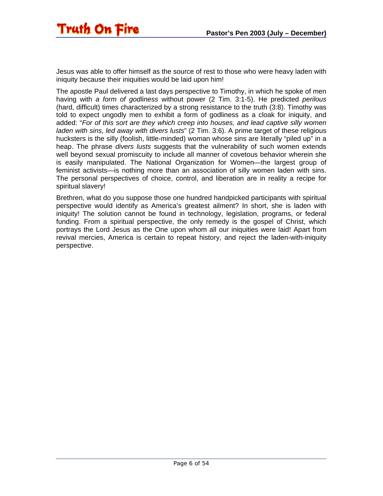Jesus was able to offer himself as the source of rest to those who were heavy laden with iniquity because their iniquities would be laid upon him!

The apostle Paul delivered a last days perspective to Timothy, in which he spoke of men having with *a form of godliness* without power (2 Tim. 3:1-5). He predicted *perilous* (hard, difficult) times characterized by a strong resistance to the truth (3:8). Timothy was told to expect ungodly men to exhibit a form of godliness as a cloak for iniquity, and added: "*For of this sort are they which creep into houses, and lead captive silly women laden with sins, led away with divers lusts*" (2 Tim. 3:6). A prime target of these religious hucksters is the silly (foolish, little-minded) woman whose sins are literally "piled up" in a heap. The phrase *divers lusts* suggests that the vulnerability of such women extends well beyond sexual promiscuity to include all manner of covetous behavior wherein she is easily manipulated. The National Organization for Women—the largest group of feminist activists—is nothing more than an association of silly women laden with sins. The personal perspectives of choice, control, and liberation are in reality a recipe for spiritual slavery!

Brethren, what do you suppose those one hundred handpicked participants with spiritual perspective would identify as America's greatest ailment? In short, she is laden with iniquity! The solution cannot be found in technology, legislation, programs, or federal funding. From a spiritual perspective, the only remedy is the gospel of Christ, which portrays the Lord Jesus as the One upon whom all our iniquities were laid! Apart from revival mercies, America is certain to repeat history, and reject the laden-with-iniquity perspective.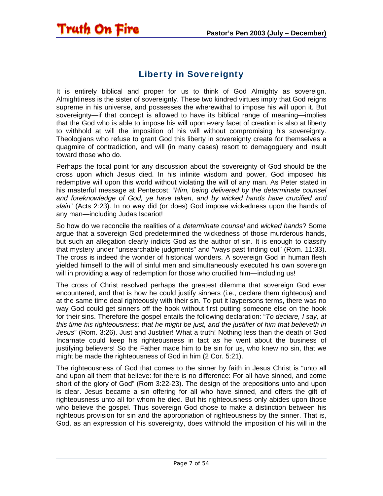#### Liberty in Sovereignty

<span id="page-6-0"></span>**Truth On Fire** 

It is entirely biblical and proper for us to think of God Almighty as sovereign. Almightiness is the sister of sovereignty. These two kindred virtues imply that God reigns supreme in his universe, and possesses the wherewithal to impose his will upon it. But sovereignty—if that concept is allowed to have its biblical range of meaning—implies that the God who is able to impose his will upon every facet of creation is also at liberty to withhold at will the imposition of his will without compromising his sovereignty. Theologians who refuse to grant God this liberty in sovereignty create for themselves a quagmire of contradiction, and will (in many cases) resort to demagoguery and insult toward those who do.

Perhaps the focal point for any discussion about the sovereignty of God should be the cross upon which Jesus died. In his infinite wisdom and power, God imposed his redemptive will upon this world without violating the will of any man. As Peter stated in his masterful message at Pentecost: "*Him, being delivered by the determinate counsel and foreknowledge of God, ye have taken, and by wicked hands have crucified and slain*" (Acts 2:23). In no way did (or does) God impose wickedness upon the hands of any man—including Judas Iscariot!

So how do we reconcile the realities of a *determinate counsel* and *wicked hands*? Some argue that a sovereign God predetermined the wickedness of those murderous hands, but such an allegation clearly indicts God as the author of sin. It is enough to classify that mystery under "unsearchable judgments" and "ways past finding out" (Rom. 11:33). The cross is indeed the wonder of historical wonders. A sovereign God in human flesh yielded himself to the will of sinful men and simultaneously executed his own sovereign will in providing a way of redemption for those who crucified him—including us!

The cross of Christ resolved perhaps the greatest dilemma that sovereign God ever encountered, and that is how he could justify sinners (i.e., declare them righteous) and at the same time deal righteously with their sin. To put it laypersons terms, there was no way God could get sinners off the hook without first putting someone else on the hook for their sins. Therefore the gospel entails the following declaration: "*To declare, I say, at this time his righteousness: that he might be just, and the justifier of him that believeth in Jesus*" (Rom. 3:26). Just and Justifier! What a truth! Nothing less than the death of God Incarnate could keep his righteousness in tact as he went about the business of justifying believers! So the Father made him to be sin for us, who knew no sin, that we might be made the righteousness of God in him (2 Cor. 5:21).

The righteousness of God that comes to the sinner by faith in Jesus Christ is "unto all and upon all them that believe: for there is no difference: For all have sinned, and come short of the glory of God" (Rom 3:22-23). The design of the prepositions unto and upon is clear. Jesus became a sin offering for all who have sinned, and offers the gift of righteousness unto all for whom he died. But his righteousness only abides upon those who believe the gospel. Thus sovereign God chose to make a distinction between his righteous provision for sin and the appropriation of righteousness by the sinner. That is, God, as an expression of his sovereignty, does withhold the imposition of his will in the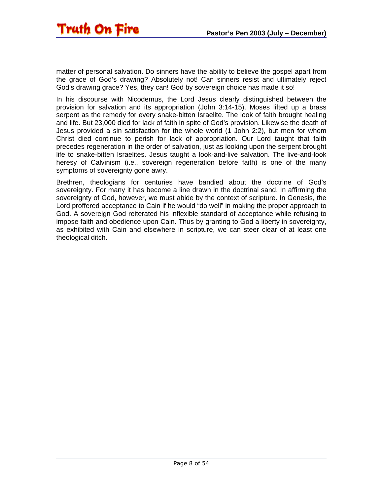matter of personal salvation. Do sinners have the ability to believe the gospel apart from the grace of God's drawing? Absolutely not! Can sinners resist and ultimately reject God's drawing grace? Yes, they can! God by sovereign choice has made it so!

In his discourse with Nicodemus, the Lord Jesus clearly distinguished between the provision for salvation and its appropriation (John 3:14-15). Moses lifted up a brass serpent as the remedy for every snake-bitten Israelite. The look of faith brought healing and life. But 23,000 died for lack of faith in spite of God's provision. Likewise the death of Jesus provided a sin satisfaction for the whole world (1 John 2:2), but men for whom Christ died continue to perish for lack of appropriation. Our Lord taught that faith precedes regeneration in the order of salvation, just as looking upon the serpent brought life to snake-bitten Israelites. Jesus taught a look-and-live salvation. The live-and-look heresy of Calvinism (i.e., sovereign regeneration before faith) is one of the many symptoms of sovereignty gone awry.

Brethren, theologians for centuries have bandied about the doctrine of God's sovereignty. For many it has become a line drawn in the doctrinal sand. In affirming the sovereignty of God, however, we must abide by the context of scripture. In Genesis, the Lord proffered acceptance to Cain if he would "do well" in making the proper approach to God. A sovereign God reiterated his inflexible standard of acceptance while refusing to impose faith and obedience upon Cain. Thus by granting to God a liberty in sovereignty, as exhibited with Cain and elsewhere in scripture, we can steer clear of at least one theological ditch.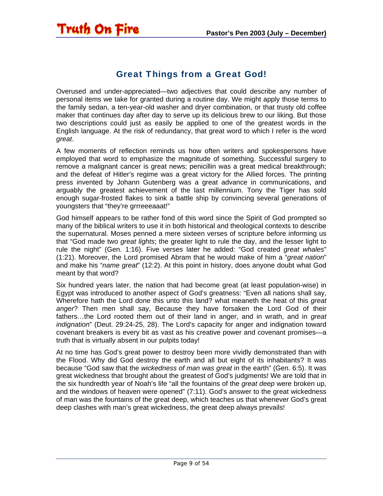#### Great Things from a Great God!

<span id="page-8-0"></span>Overused and under-appreciated—two adjectives that could describe any number of personal items we take for granted during a routine day. We might apply those terms to the family sedan, a ten-year-old washer and dryer combination, or that trusty old coffee maker that continues day after day to serve up its delicious brew to our liking. But those two descriptions could just as easily be applied to one of the greatest words in the English language. At the risk of redundancy, that great word to which I refer is the word *great*.

A few moments of reflection reminds us how often writers and spokespersons have employed that word to emphasize the magnitude of something. Successful surgery to remove a malignant cancer is great news; penicillin was a great medical breakthrough; and the defeat of Hitler's regime was a great victory for the Allied forces. The printing press invented by Johann Gutenberg was a great advance in communications, and arguably the greatest achievement of the last millennium. Tony the Tiger has sold enough sugar-frosted flakes to sink a battle ship by convincing several generations of youngsters that "they're grrreeeaaat!"

God himself appears to be rather fond of this word since the Spirit of God prompted so many of the biblical writers to use it in both historical and theological contexts to describe the supernatural. Moses penned a mere sixteen verses of scripture before informing us that "God made two *great lights*; the greater light to rule the day, and the lesser light to rule the night" (Gen. 1:16). Five verses later he added: "God created *great whales*" (1:21). Moreover, the Lord promised Abram that he would make of him a "*great nation*" and make his "*name great*" (12:2). At this point in history, does anyone doubt what God meant by that word?

Six hundred years later, the nation that had become great (at least population-wise) in Egypt was introduced to another aspect of God's greatness: "Even all nations shall say, Wherefore hath the Lord done this unto this land? what meaneth the heat of this *great anger*? Then men shall say, Because they have forsaken the Lord God of their fathers…the Lord rooted them out of their land in anger, and in wrath, and in *great indignation*" (Deut. 29:24-25, 28). The Lord's capacity for anger and indignation toward covenant breakers is every bit as vast as his creative power and covenant promises—a truth that is virtually absent in our pulpits today!

At no time has God's great power to destroy been more vividly demonstrated than with the Flood. Why did God destroy the earth and all but eight of its inhabitants? It was because "God saw that the *wickedness of man was great* in the earth" (Gen. 6:5). It was great wickedness that brought about the greatest of God's judgments! We are told that in the six hundredth year of Noah's life "all the fountains of the *great deep* were broken up, and the windows of heaven were opened" (7:11). God's answer to the great wickedness of man was the fountains of the great deep, which teaches us that whenever God's great deep clashes with man's great wickedness, the great deep always prevails!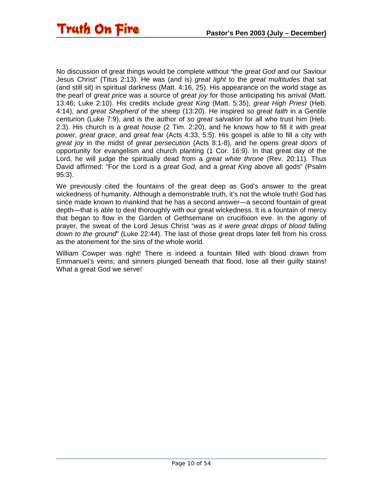No discussion of great things would be complete without "the *great God* and our Saviour Jesus Christ" (Titus 2:13). He was (and is) *great light* to the *great multitudes* that sat (and still sit) in spiritual darkness (Matt. 4:16, 25). His appearance on the world stage as the pearl of *great price* was a source of *great joy* for those anticipating his arrival (Matt. 13:46; Luke 2:10). His credits include *great King* (Matt. 5:35), *great High Priest* (Heb. 4:14), and *great Shepherd* of the sheep (13:20). He inspired *so great faith* in a Gentile centurion (Luke 7:9), and is the author of *so great salvation* for all who trust him (Heb. 2:3). His church is a *great house* (2 Tim. 2:20), and he knows how to fill it with *great power*, *great grace*, and *great fear* (Acts 4:33, 5:5). His gospel is able to fill a city with *great joy* in the midst of *great persecution* (Acts 8:1-8), and he opens *great doors* of opportunity for evangelism and church planting (1 Cor. 16:9). In that great day of the Lord, he will judge the spiritually dead from a *great white throne* (Rev. 20:11). Thus David affirmed: "For the Lord is a *great God*, and a *great King* above all gods" (Psalm 95:3).

We previously cited the fountains of the great deep as God's answer to the great wickedness of humanity. Although a demonstrable truth, it's not the whole truth! God has since made known to mankind that he has a second answer—a second fountain of great depth—that is able to deal thoroughly with our great wickedness. It is a fountain of mercy that began to flow in the Garden of Gethsemane on crucifixion eve. In the agony of prayer, the sweat of the Lord Jesus Christ "*was as it were great drops of blood falling down to the ground*" (Luke 22:44). The last of those great drops later fell from his cross as the atonement for the sins of the whole world.

William Cowper was right! There is indeed a fountain filled with blood drawn from Emmanuel's veins; and sinners plunged beneath that flood, lose all their guilty stains! What a great God we serve!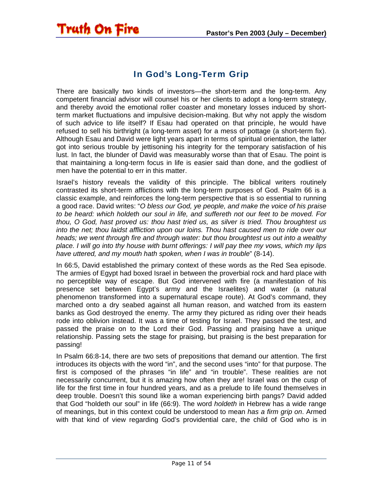#### In God's Long-Term Grip

<span id="page-10-0"></span>**Truth On Fire** 

There are basically two kinds of investors—the short-term and the long-term. Any competent financial advisor will counsel his or her clients to adopt a long-term strategy, and thereby avoid the emotional roller coaster and monetary losses induced by shortterm market fluctuations and impulsive decision-making. But why not apply the wisdom of such advice to life itself? If Esau had operated on that principle, he would have refused to sell his birthright (a long-term asset) for a mess of pottage (a short-term fix). Although Esau and David were light years apart in terms of spiritual orientation, the latter got into serious trouble by jettisoning his integrity for the temporary satisfaction of his lust. In fact, the blunder of David was measurably worse than that of Esau. The point is that maintaining a long-term focus in life is easier said than done, and the godliest of men have the potential to err in this matter.

Israel's history reveals the validity of this principle. The biblical writers routinely contrasted its short-term afflictions with the long-term purposes of God. Psalm 66 is a classic example, and reinforces the long-term perspective that is so essential to running a good race. David writes: "*O bless our God, ye people, and make the voice of his praise to be heard: which holdeth our soul in life, and suffereth not our feet to be moved. For thou, O God, hast proved us: thou hast tried us, as silver is tried. Thou broughtest us into the net; thou laidst affliction upon our loins. Thou hast caused men to ride over our heads; we went through fire and through water: but thou broughtest us out into a wealthy place. I will go into thy house with burnt offerings: I will pay thee my vows, which my lips have uttered, and my mouth hath spoken, when I was in trouble*" (8-14).

In 66:5, David established the primary context of these words as the Red Sea episode. The armies of Egypt had boxed Israel in between the proverbial rock and hard place with no perceptible way of escape. But God intervened with fire (a manifestation of his presence set between Egypt's army and the Israelites) and water (a natural phenomenon transformed into a supernatural escape route). At God's command, they marched onto a dry seabed against all human reason, and watched from its eastern banks as God destroyed the enemy. The army they pictured as riding over their heads rode into oblivion instead. It was a time of testing for Israel. They passed the test, and passed the praise on to the Lord their God. Passing and praising have a unique relationship. Passing sets the stage for praising, but praising is the best preparation for passing!

In Psalm 66:8-14, there are two sets of prepositions that demand our attention. The first introduces its objects with the word "in", and the second uses "into" for that purpose. The first is composed of the phrases "in life" and "in trouble". These realities are not necessarily concurrent, but it is amazing how often they are! Israel was on the cusp of life for the first time in four hundred years, and as a prelude to life found themselves in deep trouble. Doesn't this sound like a woman experiencing birth pangs? David added that God "holdeth our soul" in life (66:9). The word *holdeth* in Hebrew has a wide range of meanings, but in this context could be understood to mean *has a firm grip on*. Armed with that kind of view regarding God's providential care, the child of God who is in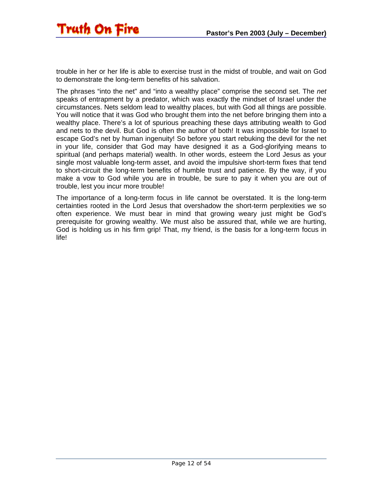trouble in her or her life is able to exercise trust in the midst of trouble, and wait on God to demonstrate the long-term benefits of his salvation.

The phrases "into the net" and "into a wealthy place" comprise the second set. The *net* speaks of entrapment by a predator, which was exactly the mindset of Israel under the circumstances. Nets seldom lead to wealthy places, but with God all things are possible. You will notice that it was God who brought them into the net before bringing them into a wealthy place. There's a lot of spurious preaching these days attributing wealth to God and nets to the devil. But God is often the author of both! It was impossible for Israel to escape God's net by human ingenuity! So before you start rebuking the devil for the net in your life, consider that God may have designed it as a God-glorifying means to spiritual (and perhaps material) wealth. In other words, esteem the Lord Jesus as your single most valuable long-term asset, and avoid the impulsive short-term fixes that tend to short-circuit the long-term benefits of humble trust and patience. By the way, if you make a vow to God while you are in trouble, be sure to pay it when you are out of trouble, lest you incur more trouble!

The importance of a long-term focus in life cannot be overstated. It is the long-term certainties rooted in the Lord Jesus that overshadow the short-term perplexities we so often experience. We must bear in mind that growing weary just might be God's prerequisite for growing wealthy. We must also be assured that, while we are hurting, God is holding us in his firm grip! That, my friend, is the basis for a long-term focus in life!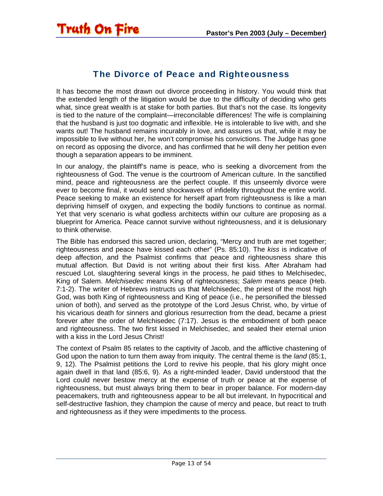#### The Divorce of Peace and Righteousness

<span id="page-12-0"></span>It has become the most drawn out divorce proceeding in history. You would think that the extended length of the litigation would be due to the difficulty of deciding who gets what, since great wealth is at stake for both parties. But that's not the case. Its longevity is tied to the nature of the complaint—irreconcilable differences! The wife is complaining that the husband is just too dogmatic and inflexible. He is intolerable to live with, and she wants out! The husband remains incurably in love, and assures us that, while it may be impossible to live without her, he won't compromise his convictions. The Judge has gone on record as opposing the divorce, and has confirmed that he will deny her petition even though a separation appears to be imminent.

In our analogy, the plaintiff's name is peace, who is seeking a divorcement from the righteousness of God. The venue is the courtroom of American culture. In the sanctified mind, peace and righteousness are the perfect couple. If this unseemly divorce were ever to become final, it would send shockwaves of infidelity throughout the entire world. Peace seeking to make an existence for herself apart from righteousness is like a man depriving himself of oxygen, and expecting the bodily functions to continue as normal. Yet that very scenario is what godless architects within our culture are proposing as a blueprint for America. Peace cannot survive without righteousness, and it is delusionary to think otherwise.

The Bible has endorsed this sacred union, declaring, "Mercy and truth are met together; righteousness and peace have kissed each other" (Ps. 85:10). The *kiss* is indicative of deep affection, and the Psalmist confirms that peace and righteousness share this mutual affection. But David is not writing about their first kiss. After Abraham had rescued Lot, slaughtering several kings in the process, he paid tithes to Melchisedec, King of Salem. *Melchisedec* means King of righteousness; *Salem* means peace (Heb. 7:1-2). The writer of Hebrews instructs us that Melchisedec, the priest of the most high God, was both King of righteousness and King of peace (i.e., he personified the blessed union of both), and served as the prototype of the Lord Jesus Christ, who, by virtue of his vicarious death for sinners and glorious resurrection from the dead, became a priest forever after the order of Melchisedec (7:17). Jesus is the embodiment of both peace and righteousness. The two first kissed in Melchisedec, and sealed their eternal union with a kiss in the Lord Jesus Christ!

The context of Psalm 85 relates to the captivity of Jacob, and the afflictive chastening of God upon the nation to turn them away from iniquity. The central theme is the *land* (85:1, 9, 12). The Psalmist petitions the Lord to revive his people, that his glory might once again dwell in that land (85:6, 9). As a right-minded leader, David understood that the Lord could never bestow mercy at the expense of truth or peace at the expense of righteousness, but must always bring them to bear in proper balance. For modern-day peacemakers, truth and righteousness appear to be all but irrelevant. In hypocritical and self-destructive fashion, they champion the cause of mercy and peace, but react to truth and righteousness as if they were impediments to the process.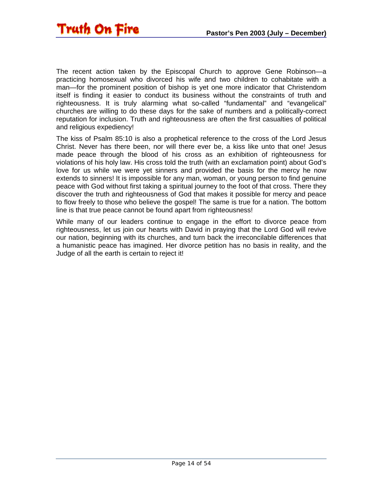The recent action taken by the Episcopal Church to approve Gene Robinson—a practicing homosexual who divorced his wife and two children to cohabitate with a man—for the prominent position of bishop is yet one more indicator that Christendom itself is finding it easier to conduct its business without the constraints of truth and righteousness. It is truly alarming what so-called "fundamental" and "evangelical" churches are willing to do these days for the sake of numbers and a politically-correct reputation for inclusion. Truth and righteousness are often the first casualties of political and religious expediency!

The kiss of Psalm 85:10 is also a prophetical reference to the cross of the Lord Jesus Christ. Never has there been, nor will there ever be, a kiss like unto that one! Jesus made peace through the blood of his cross as an exhibition of righteousness for violations of his holy law. His cross told the truth (with an exclamation point) about God's love for us while we were yet sinners and provided the basis for the mercy he now extends to sinners! It is impossible for any man, woman, or young person to find genuine peace with God without first taking a spiritual journey to the foot of that cross. There they discover the truth and righteousness of God that makes it possible for mercy and peace to flow freely to those who believe the gospel! The same is true for a nation. The bottom line is that true peace cannot be found apart from righteousness!

While many of our leaders continue to engage in the effort to divorce peace from righteousness, let us join our hearts with David in praying that the Lord God will revive our nation, beginning with its churches, and turn back the irreconcilable differences that a humanistic peace has imagined. Her divorce petition has no basis in reality, and the Judge of all the earth is certain to reject it!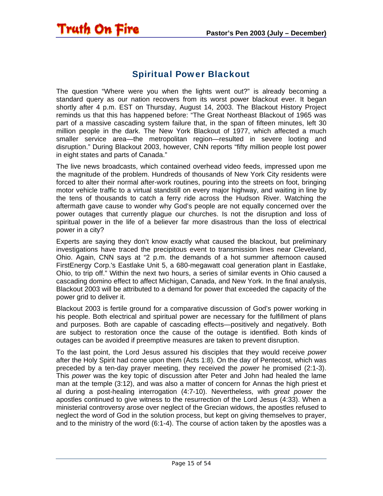#### Spiritual Power Blackout

<span id="page-14-0"></span>**Truth On Fire** 

The question "Where were you when the lights went out?" is already becoming a standard query as our nation recovers from its worst power blackout ever. It began shortly after 4 p.m. EST on Thursday, August 14, 2003. The Blackout History Project reminds us that this has happened before: "The Great Northeast Blackout of 1965 was part of a massive cascading system failure that, in the span of fifteen minutes, left 30 million people in the dark. The New York Blackout of 1977, which affected a much smaller service area—the metropolitan region—resulted in severe looting and disruption." During Blackout 2003, however, CNN reports "fifty million people lost power in eight states and parts of Canada."

The live news broadcasts, which contained overhead video feeds, impressed upon me the magnitude of the problem. Hundreds of thousands of New York City residents were forced to alter their normal after-work routines, pouring into the streets on foot, bringing motor vehicle traffic to a virtual standstill on every major highway, and waiting in line by the tens of thousands to catch a ferry ride across the Hudson River. Watching the aftermath gave cause to wonder why God's people are not equally concerned over the power outages that currently plague our churches. Is not the disruption and loss of spiritual power in the life of a believer far more disastrous than the loss of electrical power in a city?

Experts are saying they don't know exactly what caused the blackout, but preliminary investigations have traced the precipitous event to transmission lines near Cleveland, Ohio. Again, CNN says at "2 p.m. the demands of a hot summer afternoon caused FirstEnergy Corp.'s Eastlake Unit 5, a 680-megawatt coal generation plant in Eastlake, Ohio, to trip off." Within the next two hours, a series of similar events in Ohio caused a cascading domino effect to affect Michigan, Canada, and New York. In the final analysis, Blackout 2003 will be attributed to a demand for power that exceeded the capacity of the power grid to deliver it.

Blackout 2003 is fertile ground for a comparative discussion of God's power working in his people. Both electrical and spiritual power are necessary for the fulfillment of plans and purposes. Both are capable of cascading effects—positively and negatively. Both are subject to restoration once the cause of the outage is identified. Both kinds of outages can be avoided if preemptive measures are taken to prevent disruption.

To the last point, the Lord Jesus assured his disciples that they would receive *power* after the Holy Spirit had come upon them (Acts 1:8). On the day of Pentecost, which was preceded by a ten-day prayer meeting, they received the *power* he promised (2:1-3). This *power* was the key topic of discussion after Peter and John had healed the lame man at the temple (3:12), and was also a matter of concern for Annas the high priest et al during a post-healing interrogation (4:7-10). Nevertheless, with *great power* the apostles continued to give witness to the resurrection of the Lord Jesus (4:33). When a ministerial controversy arose over neglect of the Grecian widows, the apostles refused to neglect the word of God in the solution process, but kept on giving themselves to prayer, and to the ministry of the word (6:1-4). The course of action taken by the apostles was a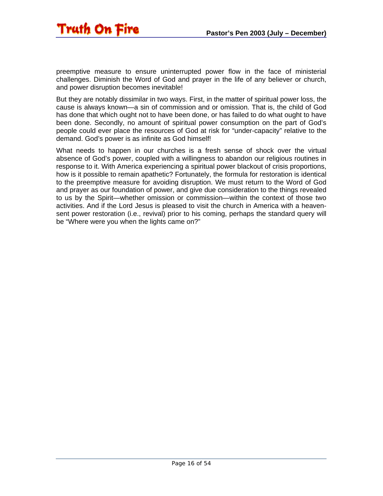

preemptive measure to ensure uninterrupted power flow in the face of ministerial challenges. Diminish the Word of God and prayer in the life of any believer or church, and power disruption becomes inevitable!

But they are notably dissimilar in two ways. First, in the matter of spiritual power loss, the cause is always known—a sin of commission and or omission. That is, the child of God has done that which ought not to have been done, or has failed to do what ought to have been done. Secondly, no amount of spiritual power consumption on the part of God's people could ever place the resources of God at risk for "under-capacity" relative to the demand. God's power is as infinite as God himself!

What needs to happen in our churches is a fresh sense of shock over the virtual absence of God's power, coupled with a willingness to abandon our religious routines in response to it. With America experiencing a spiritual power blackout of crisis proportions, how is it possible to remain apathetic? Fortunately, the formula for restoration is identical to the preemptive measure for avoiding disruption. We must return to the Word of God and prayer as our foundation of power, and give due consideration to the things revealed to us by the Spirit—whether omission or commission—within the context of those two activities. And if the Lord Jesus is pleased to visit the church in America with a heavensent power restoration (i.e., revival) prior to his coming, perhaps the standard query will be "Where were you when the lights came on?"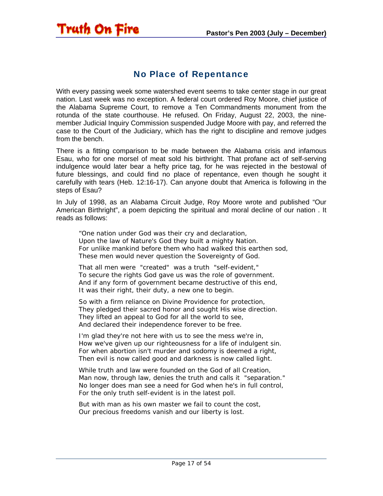#### No Place of Repentance

<span id="page-16-0"></span>Truth On Fire

With every passing week some watershed event seems to take center stage in our great nation. Last week was no exception. A federal court ordered Roy Moore, chief justice of the Alabama Supreme Court, to remove a Ten Commandments monument from the rotunda of the state courthouse. He refused. On Friday, August 22, 2003, the ninemember Judicial Inquiry Commission suspended Judge Moore with pay, and referred the case to the Court of the Judiciary, which has the right to discipline and remove judges from the bench.

There is a fitting comparison to be made between the Alabama crisis and infamous Esau, who for one morsel of meat sold his birthright. That profane act of self-serving indulgence would later bear a hefty price tag, for he was rejected in the bestowal of future blessings, and could find no place of repentance, even though he sought it carefully with tears (Heb. 12:16-17). Can anyone doubt that America is following in the steps of Esau?

In July of 1998, as an Alabama Circuit Judge, Roy Moore wrote and published "Our American Birthright", a poem depicting the spiritual and moral decline of our nation . It reads as follows:

"One nation under God was their cry and declaration, Upon the law of Nature's God they built a mighty Nation. For unlike mankind before them who had walked this earthen sod, These men would never question the Sovereignty of God.

That all men were "created" was a truth "self-evident," To secure the rights God gave us was the role of government. And if any form of government became destructive of this end, It was their right, their duty, a new one to begin.

So with a firm reliance on Divine Providence for protection, They pledged their sacred honor and sought His wise direction. They lifted an appeal to God for all the world to see, And declared their independence forever to be free.

I'm glad they're not here with us to see the mess we're in, How we've given up our righteousness for a life of indulgent sin. For when abortion isn't murder and sodomy is deemed a right, Then evil is now called good and darkness is now called light.

While truth and law were founded on the God of all Creation, Man now, through law, denies the truth and calls it "separation." No longer does man see a need for God when he's in full control, For the only truth self-evident is in the latest poll.

But with man as his own master we fail to count the cost, Our precious freedoms vanish and our liberty is lost.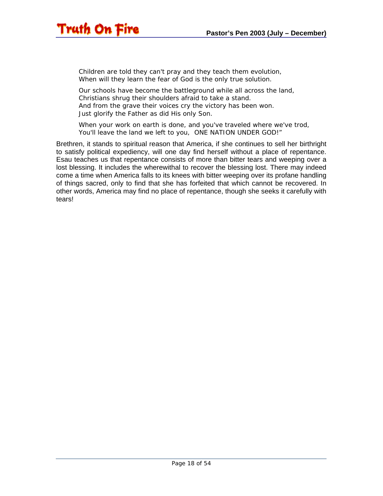# Truth On Fire

Children are told they can't pray and they teach them evolution, When will they learn the fear of God is the only true solution.

Our schools have become the battleground while all across the land, Christians shrug their shoulders afraid to take a stand. And from the grave their voices cry the victory has been won. Just glorify the Father as did His only Son.

When your work on earth is done, and you've traveled where we've trod, You'll leave the land we left to you, ONE NATION UNDER GOD!"

Brethren, it stands to spiritual reason that America, if she continues to sell her birthright to satisfy political expediency, will one day find herself without a place of repentance. Esau teaches us that repentance consists of more than bitter tears and weeping over a lost blessing. It includes the wherewithal to recover the blessing lost. There may indeed come a time when America falls to its knees with bitter weeping over its profane handling of things sacred, only to find that she has forfeited that which cannot be recovered. In other words, America may find no place of repentance, though she seeks it carefully with tears!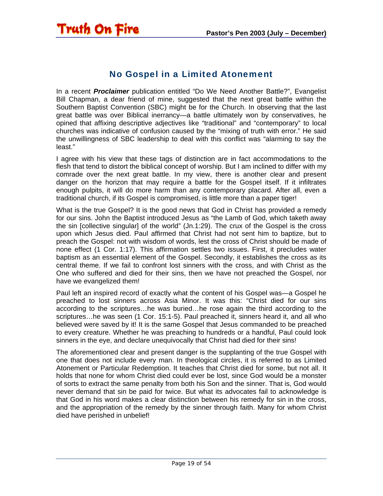#### No Gospel in a Limited Atonement

<span id="page-18-0"></span>In a recent *Proclaimer* publication entitled "Do We Need Another Battle?", Evangelist Bill Chapman, a dear friend of mine, suggested that the next great battle within the Southern Baptist Convention (SBC) might be for the Church. In observing that the last great battle was over Biblical inerrancy—a battle ultimately won by conservatives, he opined that affixing descriptive adjectives like "traditional" and "contemporary" to local churches was indicative of confusion caused by the "mixing of truth with error." He said the unwillingness of SBC leadership to deal with this conflict was "alarming to say the least."

I agree with his view that these tags of distinction are in fact accommodations to the flesh that tend to distort the biblical concept of worship. But I am inclined to differ with my comrade over the next great battle. In my view, there is another clear and present danger on the horizon that may require a battle for the Gospel itself. If it infiltrates enough pulpits, it will do more harm than any contemporary placard. After all, even a traditional church, if its Gospel is compromised, is little more than a paper tiger!

What is the true Gospel? It is the good news that God in Christ has provided a remedy for our sins. John the Baptist introduced Jesus as "the Lamb of God, which taketh away the sin [collective singular] of the world" (Jn.1:29). The crux of the Gospel is the cross upon which Jesus died. Paul affirmed that Christ had not sent him to baptize, but to preach the Gospel: not with wisdom of words, lest the cross of Christ should be made of none effect (1 Cor. 1:17). This affirmation settles two issues. First, it precludes water baptism as an essential element of the Gospel. Secondly, it establishes the cross as its central theme. If we fail to confront lost sinners with the cross, and with Christ as the One who suffered and died for their sins, then we have not preached the Gospel, nor have we evangelized them!

Paul left an inspired record of exactly what the content of his Gospel was—a Gospel he preached to lost sinners across Asia Minor. It was this: "Christ died for our sins according to the scriptures…he was buried…he rose again the third according to the scriptures...he was seen (1 Cor. 15:1-5). Paul preached it, sinners heard it, and all who believed were saved by it! It is the same Gospel that Jesus commanded to be preached to every creature. Whether he was preaching to hundreds or a handful, Paul could look sinners in the eye, and declare unequivocally that Christ had died for their sins!

The aforementioned clear and present danger is the supplanting of the true Gospel with one that does not include every man. In theological circles, it is referred to as Limited Atonement or Particular Redemption. It teaches that Christ died for some, but not all. It holds that none for whom Christ died could ever be lost, since God would be a monster of sorts to extract the same penalty from both his Son and the sinner. That is, God would never demand that sin be paid for twice. But what its advocates fail to acknowledge is that God in his word makes a clear distinction between his remedy for sin in the cross, and the appropriation of the remedy by the sinner through faith. Many for whom Christ died have perished in unbelief!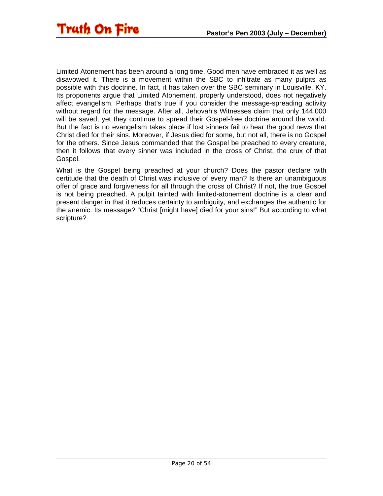Limited Atonement has been around a long time. Good men have embraced it as well as disavowed it. There is a movement within the SBC to infiltrate as many pulpits as possible with this doctrine. In fact, it has taken over the SBC seminary in Louisville, KY. Its proponents argue that Limited Atonement, properly understood, does not negatively affect evangelism. Perhaps that's true if you consider the message-spreading activity without regard for the message. After all, Jehovah's Witnesses claim that only 144,000 will be saved; yet they continue to spread their Gospel-free doctrine around the world. But the fact is no evangelism takes place if lost sinners fail to hear the good news that Christ died for their sins. Moreover, if Jesus died for some, but not all, there is no Gospel for the others. Since Jesus commanded that the Gospel be preached to every creature, then it follows that every sinner was included in the cross of Christ, the crux of that Gospel.

What is the Gospel being preached at your church? Does the pastor declare with certitude that the death of Christ was inclusive of every man? Is there an unambiguous offer of grace and forgiveness for all through the cross of Christ? If not, the true Gospel is not being preached. A pulpit tainted with limited-atonement doctrine is a clear and present danger in that it reduces certainty to ambiguity, and exchanges the authentic for the anemic. Its message? "Christ [might have] died for your sins!" But according to what scripture?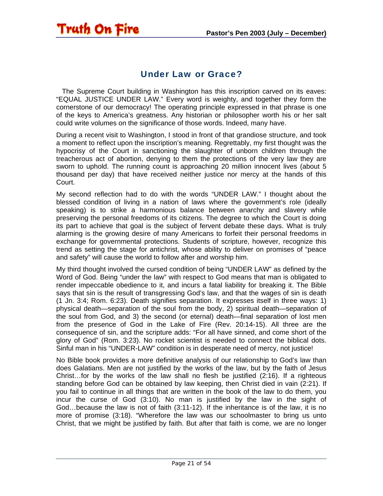### Under Law or Grace?

<span id="page-20-0"></span>**Truth On Fire** 

 The Supreme Court building in Washington has this inscription carved on its eaves: "EQUAL JUSTICE UNDER LAW." Every word is weighty, and together they form the cornerstone of our democracy! The operating principle expressed in that phrase is one of the keys to America's greatness. Any historian or philosopher worth his or her salt could write volumes on the significance of those words. Indeed, many have.

During a recent visit to Washington, I stood in front of that grandiose structure, and took a moment to reflect upon the inscription's meaning. Regrettably, my first thought was the hypocrisy of the Court in sanctioning the slaughter of unborn children through the treacherous act of abortion, denying to them the protections of the very law they are sworn to uphold. The running count is approaching 20 million innocent lives (about 5 thousand per day) that have received neither justice nor mercy at the hands of this Court.

My second reflection had to do with the words "UNDER LAW." I thought about the blessed condition of living in a nation of laws where the government's role (ideally speaking) is to strike a harmonious balance between anarchy and slavery while preserving the personal freedoms of its citizens. The degree to which the Court is doing its part to achieve that goal is the subject of fervent debate these days. What is truly alarming is the growing desire of many Americans to forfeit their personal freedoms in exchange for governmental protections. Students of scripture, however, recognize this trend as setting the stage for antichrist, whose ability to deliver on promises of "peace and safety" will cause the world to follow after and worship him.

My third thought involved the cursed condition of being "UNDER LAW" as defined by the Word of God. Being "under the law" with respect to God means that man is obligated to render impeccable obedience to it, and incurs a fatal liability for breaking it. The Bible says that sin is the result of transgressing God's law, and that the wages of sin is death (1 Jn. 3:4; Rom. 6:23). Death signifies separation. It expresses itself in three ways: 1) physical death—separation of the soul from the body, 2) spiritual death—separation of the soul from God, and 3) the second (or eternal) death—final separation of lost men from the presence of God in the Lake of Fire (Rev. 20:14-15). All three are the consequence of sin, and the scripture adds: "For all have sinned, and come short of the glory of God" (Rom. 3:23). No rocket scientist is needed to connect the biblical dots. Sinful man in his "UNDER-LAW" condition is in desperate need of mercy, not justice!

No Bible book provides a more definitive analysis of our relationship to God's law than does Galatians. Men are not justified by the works of the law, but by the faith of Jesus Christ…for by the works of the law shall no flesh be justified (2:16). If a righteous standing before God can be obtained by law keeping, then Christ died in vain (2:21). If you fail to continue in all things that are written in the book of the law to do them, you incur the curse of God (3:10). No man is justified by the law in the sight of God…because the law is not of faith (3:11-12). If the inheritance is of the law, it is no more of promise (3:18). "Wherefore the law was our schoolmaster to bring us unto Christ, that we might be justified by faith. But after that faith is come, we are no longer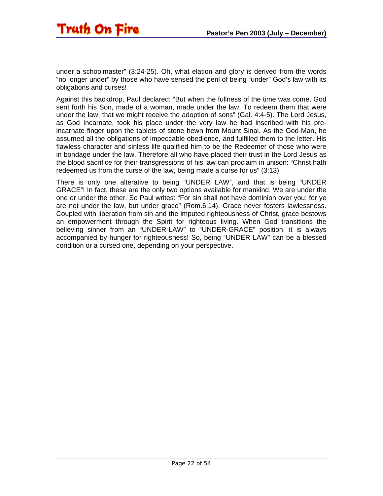

under a schoolmaster" (3:24-25). Oh, what elation and glory is derived from the words "no longer under" by those who have sensed the peril of being "under" God's law with its obligations and curses!

Against this backdrop, Paul declared: "But when the fullness of the time was come, God sent forth his Son, made of a woman, made under the law, To redeem them that were under the law, that we might receive the adoption of sons" (Gal. 4:4-5). The Lord Jesus, as God Incarnate, took his place under the very law he had inscribed with his preincarnate finger upon the tablets of stone hewn from Mount Sinai. As the God-Man, he assumed all the obligations of impeccable obedience, and fulfilled them to the letter. His flawless character and sinless life qualified him to be the Redeemer of those who were in bondage under the law. Therefore all who have placed their trust in the Lord Jesus as the blood sacrifice for their transgressions of his law can proclaim in unison: "Christ hath redeemed us from the curse of the law, being made a curse for us" (3:13).

There is only one alterative to being "UNDER LAW", and that is being "UNDER GRACE"! In fact, these are the only two options available for mankind. We are under the one or under the other. So Paul writes: "For sin shall not have dominion over you: for ye are not under the law, but under grace" (Rom.6:14). Grace never fosters lawlessness. Coupled with liberation from sin and the imputed righteousness of Christ, grace bestows an empowerment through the Spirit for righteous living. When God transitions the believing sinner from an "UNDER-LAW" to "UNDER-GRACE" position, it is always accompanied by hunger for righteousness! So, being "UNDER LAW" can be a blessed condition or a cursed one, depending on your perspective.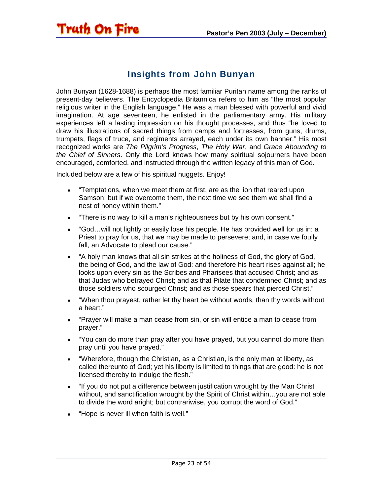#### Insights from John Bunyan

John Bunyan (1628-1688) is perhaps the most familiar Puritan name among the ranks of present-day believers. The Encyclopedia Britannica refers to him as "the most popular religious writer in the English language." He was a man blessed with powerful and vivid imagination. At age seventeen, he enlisted in the parliamentary army. His military experiences left a lasting impression on his thought processes, and thus "he loved to draw his illustrations of sacred things from camps and fortresses, from guns, drums, trumpets, flags of truce, and regiments arrayed, each under its own banner." His most recognized works are *The Pilgrim's Progress*, *The Holy War*, and *Grace Abounding to the Chief of Sinners*. Only the Lord knows how many spiritual sojourners have been encouraged, comforted, and instructed through the written legacy of this man of God.

Included below are a few of his spiritual nuggets. Enjoy!

<span id="page-22-0"></span>Truth On Fire

- "Temptations, when we meet them at first, are as the lion that reared upon Samson; but if we overcome them, the next time we see them we shall find a nest of honey within them."
- "There is no way to kill a man's righteousness but by his own consent."
- "God…will not lightly or easily lose his people. He has provided well for us in: a Priest to pray for us, that we may be made to persevere; and, in case we foully fall, an Advocate to plead our cause."
- "A holy man knows that all sin strikes at the holiness of God, the glory of God, the being of God, and the law of God: and therefore his heart rises against all; he looks upon every sin as the Scribes and Pharisees that accused Christ; and as that Judas who betrayed Christ; and as that Pilate that condemned Christ; and as those soldiers who scourged Christ; and as those spears that pierced Christ."
- "When thou prayest, rather let thy heart be without words, than thy words without a heart."
- "Prayer will make a man cease from sin, or sin will entice a man to cease from prayer."
- "You can do more than pray after you have prayed, but you cannot do more than pray until you have prayed."
- "Wherefore, though the Christian, as a Christian, is the only man at liberty, as called thereunto of God; yet his liberty is limited to things that are good: he is not licensed thereby to indulge the flesh."
- "If you do not put a difference between justification wrought by the Man Christ without, and sanctification wrought by the Spirit of Christ within…you are not able to divide the word aright; but contrariwise, you corrupt the word of God."
- "Hope is never ill when faith is well."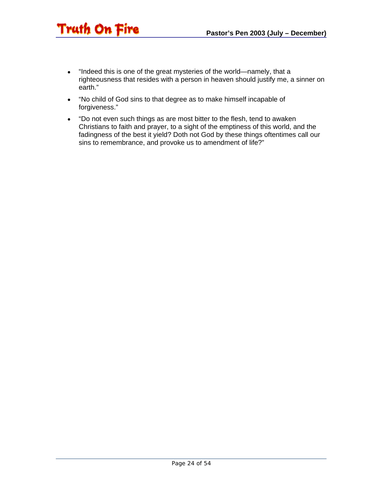- "Indeed this is one of the great mysteries of the world—namely, that a righteousness that resides with a person in heaven should justify me, a sinner on earth."
- "No child of God sins to that degree as to make himself incapable of forgiveness."

**Truth On Fire** 

• "Do not even such things as are most bitter to the flesh, tend to awaken Christians to faith and prayer, to a sight of the emptiness of this world, and the fadingness of the best it yield? Doth not God by these things oftentimes call our sins to remembrance, and provoke us to amendment of life?"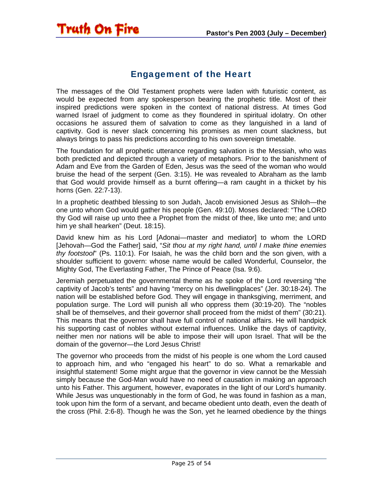#### Engagement of the Heart

<span id="page-24-0"></span>Truth On Fire

The messages of the Old Testament prophets were laden with futuristic content, as would be expected from any spokesperson bearing the prophetic title. Most of their inspired predictions were spoken in the context of national distress. At times God warned Israel of judgment to come as they floundered in spiritual idolatry. On other occasions he assured them of salvation to come as they languished in a land of captivity. God is never slack concerning his promises as men count slackness, but always brings to pass his predictions according to his own sovereign timetable.

The foundation for all prophetic utterance regarding salvation is the Messiah, who was both predicted and depicted through a variety of metaphors. Prior to the banishment of Adam and Eve from the Garden of Eden, Jesus was the seed of the woman who would bruise the head of the serpent (Gen. 3:15). He was revealed to Abraham as the lamb that God would provide himself as a burnt offering—a ram caught in a thicket by his horns (Gen. 22:7-13).

In a prophetic deathbed blessing to son Judah, Jacob envisioned Jesus as Shiloh—the one unto whom God would gather his people (Gen. 49:10). Moses declared: "The LORD thy God will raise up unto thee a Prophet from the midst of thee, like unto me; and unto him ye shall hearken" (Deut. 18:15).

David knew him as his Lord [Adonai—master and mediator] to whom the LORD [Jehovah—God the Father] said, "*Sit thou at my right hand, until I make thine enemies thy footstool*" (Ps. 110:1). For Isaiah, he was the child born and the son given, with a shoulder sufficient to govern: whose name would be called Wonderful, Counselor, the Mighty God, The Everlasting Father, The Prince of Peace (Isa. 9:6).

Jeremiah perpetuated the governmental theme as he spoke of the Lord reversing "the captivity of Jacob's tents" and having "mercy on his dwellingplaces" (Jer. 30:18-24). The nation will be established before God. They will engage in thanksgiving, merriment, and population surge. The Lord will punish all who oppress them (30:19-20). The "nobles shall be of themselves, and their governor shall proceed from the midst of them" (30:21). This means that the governor shall have full control of national affairs. He will handpick his supporting cast of nobles without external influences. Unlike the days of captivity, neither men nor nations will be able to impose their will upon Israel. That will be the domain of the governor—the Lord Jesus Christ!

The governor who proceeds from the midst of his people is one whom the Lord caused to approach him, and who "engaged his heart" to do so. What a remarkable and insightful statement! Some might argue that the governor in view cannot be the Messiah simply because the God-Man would have no need of causation in making an approach unto his Father. This argument, however, evaporates in the light of our Lord's humanity. While Jesus was unquestionably in the form of God, he was found in fashion as a man, took upon him the form of a servant, and became obedient unto death, even the death of the cross (Phil. 2:6-8). Though he was the Son, yet he learned obedience by the things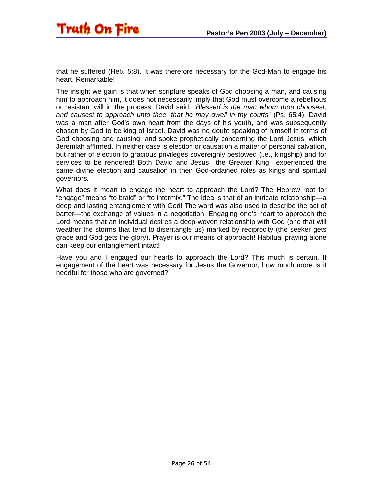

that he suffered (Heb. 5:8). It was therefore necessary for the God-Man to engage his heart. Remarkable!

The insight we gain is that when scripture speaks of God choosing a man, and causing him to approach him, it does not necessarily imply that God must overcome a rebellious or resistant will in the process. David said: "*Blessed is the man whom thou choosest, and causest to approach unto thee, that he may dwell in thy courts*" (Ps. 65:4). David was a man after God's own heart from the days of his youth, and was subsequently chosen by God to be king of Israel. David was no doubt speaking of himself in terms of God choosing and causing, and spoke prophetically concerning the Lord Jesus, which Jeremiah affirmed. In neither case is election or causation a matter of personal salvation, but rather of election to gracious privileges sovereignly bestowed (i.e., kingship) and for services to be rendered! Both David and Jesus—the Greater King—experienced the same divine election and causation in their God-ordained roles as kings and spiritual governors.

What does it mean to engage the heart to approach the Lord? The Hebrew root for "engage" means "to braid" or "to intermix." The idea is that of an intricate relationship—a deep and lasting entanglement with God! The word was also used to describe the act of barter—the exchange of values in a negotiation. Engaging one's heart to approach the Lord means that an individual desires a deep-woven relationship with God (one that will weather the storms that tend to disentangle us) marked by reciprocity (the seeker gets grace and God gets the glory). Prayer is our means of approach! Habitual praying alone can keep our entanglement intact!

Have you and I engaged our hearts to approach the Lord? This much is certain. If engagement of the heart was necessary for Jesus the Governor, how much more is it needful for those who are governed?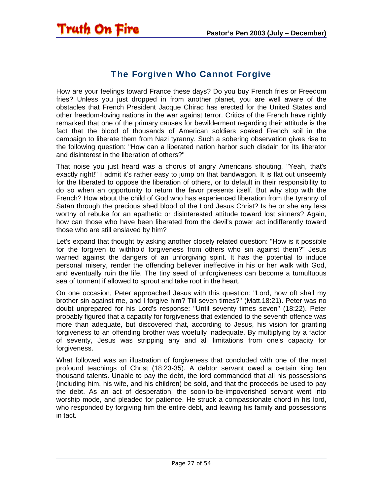<span id="page-26-0"></span>

#### The Forgiven Who Cannot Forgive

How are your feelings toward France these days? Do you buy French fries or Freedom fries? Unless you just dropped in from another planet, you are well aware of the obstacles that French President Jacque Chirac has erected for the United States and other freedom-loving nations in the war against terror. Critics of the French have rightly remarked that one of the primary causes for bewilderment regarding their attitude is the fact that the blood of thousands of American soldiers soaked French soil in the campaign to liberate them from Nazi tyranny. Such a sobering observation gives rise to the following question: "How can a liberated nation harbor such disdain for its liberator and disinterest in the liberation of others?"

That noise you just heard was a chorus of angry Americans shouting, "Yeah, that's exactly right!" I admit it's rather easy to jump on that bandwagon. It is flat out unseemly for the liberated to oppose the liberation of others, or to default in their responsibility to do so when an opportunity to return the favor presents itself. But why stop with the French? How about the child of God who has experienced liberation from the tyranny of Satan through the precious shed blood of the Lord Jesus Christ? Is he or she any less worthy of rebuke for an apathetic or disinterested attitude toward lost sinners? Again, how can those who have been liberated from the devil's power act indifferently toward those who are still enslaved by him?

Let's expand that thought by asking another closely related question: "How is it possible for the forgiven to withhold forgiveness from others who sin against them?" Jesus warned against the dangers of an unforgiving spirit. It has the potential to induce personal misery, render the offending believer ineffective in his or her walk with God, and eventually ruin the life. The tiny seed of unforgiveness can become a tumultuous sea of torment if allowed to sprout and take root in the heart.

On one occasion, Peter approached Jesus with this question: "Lord, how oft shall my brother sin against me, and I forgive him? Till seven times?" (Matt.18:21). Peter was no doubt unprepared for his Lord's response: "Until seventy times seven" (18:22). Peter probably figured that a capacity for forgiveness that extended to the seventh offence was more than adequate, but discovered that, according to Jesus, his vision for granting forgiveness to an offending brother was woefully inadequate. By multiplying by a factor of seventy, Jesus was stripping any and all limitations from one's capacity for forgiveness.

What followed was an illustration of forgiveness that concluded with one of the most profound teachings of Christ (18:23-35). A debtor servant owed a certain king ten thousand talents. Unable to pay the debt, the lord commanded that all his possessions (including him, his wife, and his children) be sold, and that the proceeds be used to pay the debt. As an act of desperation, the soon-to-be-impoverished servant went into worship mode, and pleaded for patience. He struck a compassionate chord in his lord, who responded by forgiving him the entire debt, and leaving his family and possessions in tact.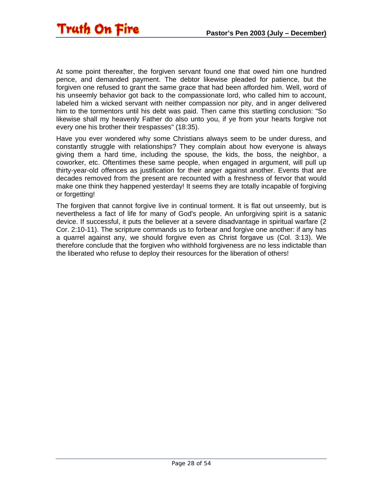At some point thereafter, the forgiven servant found one that owed him one hundred pence, and demanded payment. The debtor likewise pleaded for patience, but the forgiven one refused to grant the same grace that had been afforded him. Well, word of his unseemly behavior got back to the compassionate lord, who called him to account, labeled him a wicked servant with neither compassion nor pity, and in anger delivered him to the tormentors until his debt was paid. Then came this startling conclusion: "So likewise shall my heavenly Father do also unto you, if ye from your hearts forgive not every one his brother their trespasses" (18:35).

Have you ever wondered why some Christians always seem to be under duress, and constantly struggle with relationships? They complain about how everyone is always giving them a hard time, including the spouse, the kids, the boss, the neighbor, a coworker, etc. Oftentimes these same people, when engaged in argument, will pull up thirty-year-old offences as justification for their anger against another. Events that are decades removed from the present are recounted with a freshness of fervor that would make one think they happened yesterday! It seems they are totally incapable of forgiving or forgetting!

The forgiven that cannot forgive live in continual torment. It is flat out unseemly, but is nevertheless a fact of life for many of God's people. An unforgiving spirit is a satanic device. If successful, it puts the believer at a severe disadvantage in spiritual warfare (2 Cor. 2:10-11). The scripture commands us to forbear and forgive one another: if any has a quarrel against any, we should forgive even as Christ forgave us (Col. 3:13). We therefore conclude that the forgiven who withhold forgiveness are no less indictable than the liberated who refuse to deploy their resources for the liberation of others!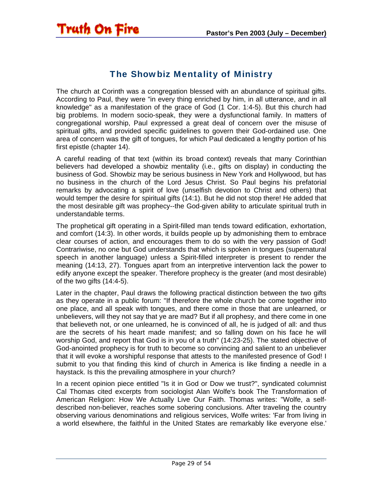<span id="page-28-0"></span>

#### The Showbiz Mentality of Ministry

The church at Corinth was a congregation blessed with an abundance of spiritual gifts. According to Paul, they were "in every thing enriched by him, in all utterance, and in all knowledge" as a manifestation of the grace of God (1 Cor. 1:4-5). But this church had big problems. In modern socio-speak, they were a dysfunctional family. In matters of congregational worship, Paul expressed a great deal of concern over the misuse of spiritual gifts, and provided specific guidelines to govern their God-ordained use. One area of concern was the gift of tongues, for which Paul dedicated a lengthy portion of his first epistle (chapter 14).

A careful reading of that text (within its broad context) reveals that many Corinthian believers had developed a showbiz mentality (i.e., gifts on display) in conducting the business of God. Showbiz may be serious business in New York and Hollywood, but has no business in the church of the Lord Jesus Christ. So Paul begins his prefatorial remarks by advocating a spirit of love (unselfish devotion to Christ and others) that would temper the desire for spiritual gifts (14:1). But he did not stop there! He added that the most desirable gift was prophecy--the God-given ability to articulate spiritual truth in understandable terms.

The prophetical gift operating in a Spirit-filled man tends toward edification, exhortation, and comfort (14:3). In other words, it builds people up by admonishing them to embrace clear courses of action, and encourages them to do so with the very passion of God! Contrariwise, no one but God understands that which is spoken in tongues (supernatural speech in another language) unless a Spirit-filled interpreter is present to render the meaning (14:13, 27). Tongues apart from an interpretive intervention lack the power to edify anyone except the speaker. Therefore prophecy is the greater (and most desirable) of the two gifts (14:4-5).

Later in the chapter, Paul draws the following practical distinction between the two gifts as they operate in a public forum: "If therefore the whole church be come together into one place, and all speak with tongues, and there come in those that are unlearned, or unbelievers, will they not say that ye are mad? But if all prophesy, and there come in one that believeth not, or one unlearned, he is convinced of all, he is judged of all: and thus are the secrets of his heart made manifest; and so falling down on his face he will worship God, and report that God is in you of a truth" (14:23-25). The stated objective of God-anointed prophecy is for truth to become so convincing and salient to an unbeliever that it will evoke a worshipful response that attests to the manifested presence of God! I submit to you that finding this kind of church in America is like finding a needle in a haystack. Is this the prevailing atmosphere in your church?

In a recent opinion piece entitled "Is it in God or Dow we trust?", syndicated columnist Cal Thomas cited excerpts from sociologist Alan Wolfe's book The Transformation of American Religion: How We Actually Live Our Faith. Thomas writes: "Wolfe, a selfdescribed non-believer, reaches some sobering conclusions. After traveling the country observing various denominations and religious services, Wolfe writes: 'Far from living in a world elsewhere, the faithful in the United States are remarkably like everyone else.'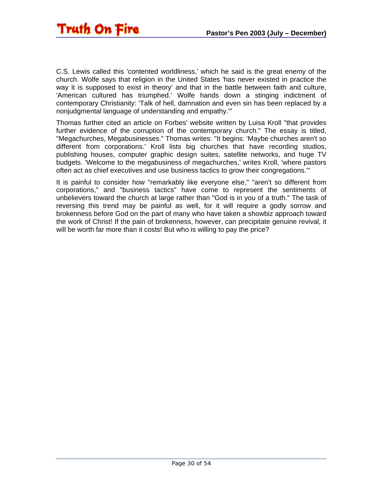

C.S. Lewis called this 'contented worldliness,' which he said is the great enemy of the church. Wolfe says that religion in the United States 'has never existed in practice the way it is supposed to exist in theory' and that in the battle between faith and culture, 'American cultured has triumphed.' Wolfe hands down a stinging indictment of contemporary Christianity: 'Talk of hell, damnation and even sin has been replaced by a nonjudgmental language of understanding and empathy.'"

Thomas further cited an article on Forbes' website written by Luisa Kroll "that provides further evidence of the corruption of the contemporary church." The essay is titled, "Megachurches, Megabusinesses." Thomas writes: "It begins: 'Maybe churches aren't so different from corporations.' Kroll lists big churches that have recording studios, publishing houses, computer graphic design suites, satellite networks, and huge TV budgets. 'Welcome to the megabusiness of megachurches,' writes Kroll, 'where pastors often act as chief executives and use business tactics to grow their congregations.'"

It is painful to consider how "remarkably like everyone else," "aren't so different from corporations," and "business tactics" have come to represent the sentiments of unbelievers toward the church at large rather than "God is in you of a truth." The task of reversing this trend may be painful as well, for it will require a godly sorrow and brokenness before God on the part of many who have taken a showbiz approach toward the work of Christ! If the pain of brokenness, however, can precipitate genuine revival, it will be worth far more than it costs! But who is willing to pay the price?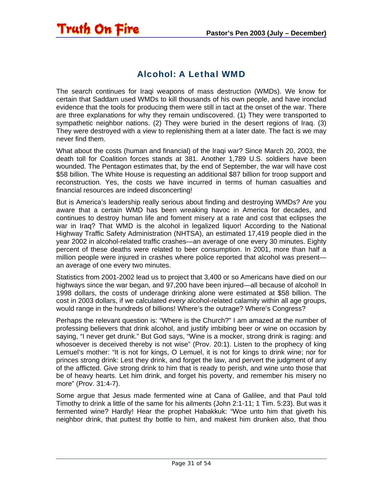#### Alcohol: A Lethal WMD

<span id="page-30-0"></span>Truth On Fire

The search continues for Iraqi weapons of mass destruction (WMDs). We know for certain that Saddam used WMDs to kill thousands of his own people, and have ironclad evidence that the tools for producing them were still in tact at the onset of the war. There are three explanations for why they remain undiscovered. (1) They were transported to sympathetic neighbor nations. (2) They were buried in the desert regions of Iraq. (3) They were destroyed with a view to replenishing them at a later date. The fact is we may never find them.

What about the costs (human and financial) of the Iraqi war? Since March 20, 2003, the death toll for Coalition forces stands at 381. Another 1,789 U.S. soldiers have been wounded. The Pentagon estimates that, by the end of September, the war will have cost \$58 billion. The White House is requesting an additional \$87 billion for troop support and reconstruction. Yes, the costs we have incurred in terms of human casualties and financial resources are indeed disconcerting!

But is America's leadership really serious about finding and destroying WMDs? Are you aware that a certain WMD has been wreaking havoc in America for decades, and continues to destroy human life and foment misery at a rate and cost that eclipses the war in Iraq? That WMD is the alcohol in legalized liquor! According to the National Highway Traffic Safety Administration (NHTSA), an estimated 17,419 people died in the year 2002 in alcohol-related traffic crashes—an average of one every 30 minutes. Eighty percent of these deaths were related to beer consumption. In 2001, more than half a million people were injured in crashes where police reported that alcohol was present an average of one every two minutes.

Statistics from 2001-2002 lead us to project that 3,400 or so Americans have died on our highways since the war began, and 97,200 have been injured—all because of alcohol! In 1998 dollars, the costs of underage drinking alone were estimated at \$58 billion. The cost in 2003 dollars, if we calculated *every* alcohol-related calamity within all age groups, would range in the hundreds of billions! Where's the outrage? Where's Congress?

Perhaps the relevant question is: "Where is the Church?" I am amazed at the number of professing believers that drink alcohol, and justify imbibing beer or wine on occasion by saying, "I never get drunk." But God says, "Wine is a mocker, strong drink is raging: and whosoever is deceived thereby is not wise" (Prov. 20:1). Listen to the prophecy of king Lemuel's mother: "It is not for kings, O Lemuel, it is not for kings to drink wine; nor for princes strong drink: Lest they drink, and forget the law, and pervert the judgment of any of the afflicted. Give strong drink to him that is ready to perish, and wine unto those that be of heavy hearts. Let him drink, and forget his poverty, and remember his misery no more" (Prov. 31:4-7).

Some argue that Jesus made fermented wine at Cana of Galilee, and that Paul told Timothy to drink a little of the same for his ailments (John 2:1-11; 1 Tim. 5:23). But was it fermented wine? Hardly! Hear the prophet Habakkuk: "Woe unto him that giveth his neighbor drink, that puttest thy bottle to him, and makest him drunken also, that thou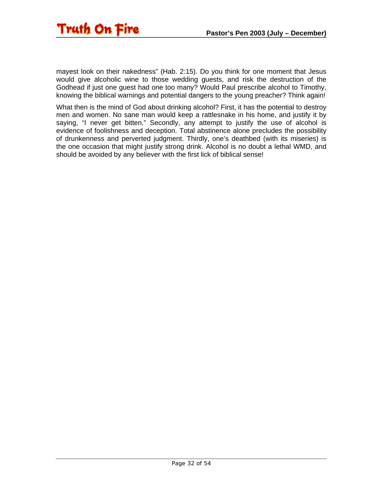

mayest look on their nakedness" (Hab. 2:15). Do you think for one moment that Jesus would give alcoholic wine to those wedding guests, and risk the destruction of the Godhead if just one guest had one too many? Would Paul prescribe alcohol to Timothy, knowing the biblical warnings and potential dangers to the young preacher? Think again!

What then is the mind of God about drinking alcohol? First, it has the potential to destroy men and women. No sane man would keep a rattlesnake in his home, and justify it by saying, "I never get bitten." Secondly, any attempt to justify the use of alcohol is evidence of foolishness and deception. Total abstinence alone precludes the possibility of drunkenness and perverted judgment. Thirdly, one's deathbed (with its miseries) is the one occasion that might justify strong drink. Alcohol is no doubt a lethal WMD, and should be avoided by any believer with the first lick of biblical sense!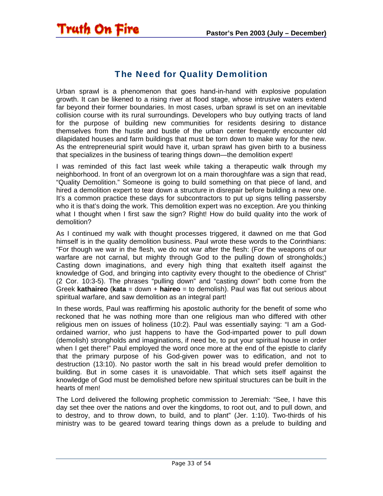<span id="page-32-0"></span>

#### The Need for Quality Demolition

Urban sprawl is a phenomenon that goes hand-in-hand with explosive population growth. It can be likened to a rising river at flood stage, whose intrusive waters extend far beyond their former boundaries. In most cases, urban sprawl is set on an inevitable collision course with its rural surroundings. Developers who buy outlying tracts of land for the purpose of building new communities for residents desiring to distance themselves from the hustle and bustle of the urban center frequently encounter old dilapidated houses and farm buildings that must be torn down to make way for the new. As the entrepreneurial spirit would have it, urban sprawl has given birth to a business that specializes in the business of tearing things down—the demolition expert!

I was reminded of this fact last week while taking a therapeutic walk through my neighborhood. In front of an overgrown lot on a main thoroughfare was a sign that read, "Quality Demolition." Someone is going to build something on that piece of land, and hired a demolition expert to tear down a structure in disrepair before building a new one. It's a common practice these days for subcontractors to put up signs telling passersby who it is that's doing the work. This demolition expert was no exception. Are you thinking what I thought when I first saw the sign? Right! How do build quality into the work of demolition?

As I continued my walk with thought processes triggered, it dawned on me that God himself is in the quality demolition business. Paul wrote these words to the Corinthians: "For though we war in the flesh, we do not war after the flesh: (For the weapons of our warfare are not carnal, but mighty through God to the pulling down of strongholds;) Casting down imaginations, and every high thing that exalteth itself against the knowledge of God, and bringing into captivity every thought to the obedience of Christ" (2 Cor. 10:3-5). The phrases "pulling down" and "casting down" both come from the Greek **kathaireo** (**kata** = down + **haireo** = to demolish). Paul was flat out serious about spiritual warfare, and saw demolition as an integral part!

In these words, Paul was reaffirming his apostolic authority for the benefit of some who reckoned that he was nothing more than one religious man who differed with other religious men on issues of holiness (10:2). Paul was essentially saying: "I am a Godordained warrior, who just happens to have the God-imparted power to pull down (demolish) strongholds and imaginations, if need be, to put your spiritual house in order when I get there!" Paul employed the word once more at the end of the epistle to clarify that the primary purpose of his God-given power was to edification, and not to destruction (13:10). No pastor worth the salt in his bread would prefer demolition to building. But in some cases it is unavoidable. That which sets itself against the knowledge of God must be demolished before new spiritual structures can be built in the hearts of men!

The Lord delivered the following prophetic commission to Jeremiah: "See, I have this day set thee over the nations and over the kingdoms, to root out, and to pull down, and to destroy, and to throw down, to build, and to plant" (Jer. 1:10). Two-thirds of his ministry was to be geared toward tearing things down as a prelude to building and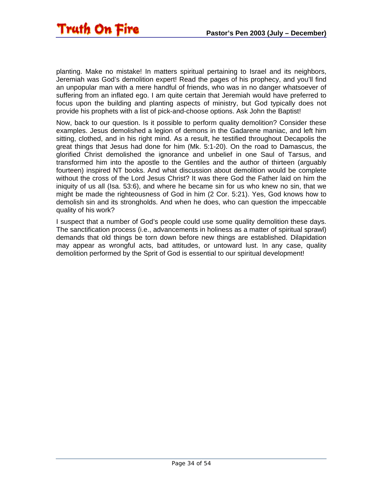

planting. Make no mistake! In matters spiritual pertaining to Israel and its neighbors, Jeremiah was God's demolition expert! Read the pages of his prophecy, and you'll find an unpopular man with a mere handful of friends, who was in no danger whatsoever of suffering from an inflated ego. I am quite certain that Jeremiah would have preferred to focus upon the building and planting aspects of ministry, but God typically does not provide his prophets with a list of pick-and-choose options. Ask John the Baptist!

Now, back to our question. Is it possible to perform quality demolition? Consider these examples. Jesus demolished a legion of demons in the Gadarene maniac, and left him sitting, clothed, and in his right mind. As a result, he testified throughout Decapolis the great things that Jesus had done for him (Mk. 5:1-20). On the road to Damascus, the glorified Christ demolished the ignorance and unbelief in one Saul of Tarsus, and transformed him into the apostle to the Gentiles and the author of thirteen (arguably fourteen) inspired NT books. And what discussion about demolition would be complete without the cross of the Lord Jesus Christ? It was there God the Father laid on him the iniquity of us all (Isa. 53:6), and where he became sin for us who knew no sin, that we might be made the righteousness of God in him (2 Cor. 5:21). Yes, God knows how to demolish sin and its strongholds. And when he does, who can question the impeccable quality of his work?

I suspect that a number of God's people could use some quality demolition these days. The sanctification process (i.e., advancements in holiness as a matter of spiritual sprawl) demands that old things be torn down before new things are established. Dilapidation may appear as wrongful acts, bad attitudes, or untoward lust. In any case, quality demolition performed by the Sprit of God is essential to our spiritual development!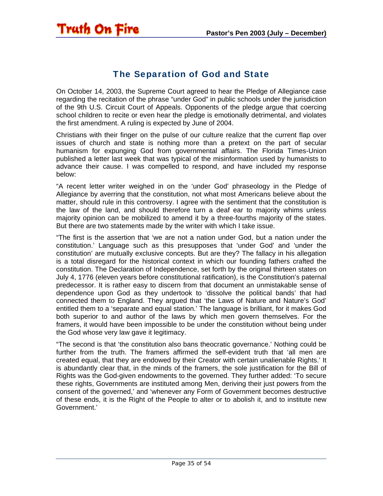<span id="page-34-0"></span>

#### The Separation of God and State

On October 14, 2003, the Supreme Court agreed to hear the Pledge of Allegiance case regarding the recitation of the phrase "under God" in public schools under the jurisdiction of the 9th U.S. Circuit Court of Appeals. Opponents of the pledge argue that coercing school children to recite or even hear the pledge is emotionally detrimental, and violates the first amendment. A ruling is expected by June of 2004.

Christians with their finger on the pulse of our culture realize that the current flap over issues of church and state is nothing more than a pretext on the part of secular humanism for expunging God from governmental affairs. The Florida Times-Union published a letter last week that was typical of the misinformation used by humanists to advance their cause. I was compelled to respond, and have included my response below:

"A recent letter writer weighed in on the 'under God' phraseology in the Pledge of Allegiance by averring that the constitution, not what most Americans believe about the matter, should rule in this controversy. I agree with the sentiment that the constitution is the law of the land, and should therefore turn a deaf ear to majority whims unless majority opinion can be mobilized to amend it by a three-fourths majority of the states. But there are two statements made by the writer with which I take issue.

"The first is the assertion that 'we are not a nation under God, but a nation under the constitution.' Language such as this presupposes that 'under God' and 'under the constitution' are mutually exclusive concepts. But are they? The fallacy in his allegation is a total disregard for the historical context in which our founding fathers crafted the constitution. The Declaration of Independence, set forth by the original thirteen states on July 4, 1776 (eleven years before constitutional ratification), is the Constitution's paternal predecessor. It is rather easy to discern from that document an unmistakable sense of dependence upon God as they undertook to 'dissolve the political bands' that had connected them to England. They argued that 'the Laws of Nature and Nature's God' entitled them to a 'separate and equal station.' The language is brilliant, for it makes God both superior to and author of the laws by which men govern themselves. For the framers, it would have been impossible to be under the constitution without being under the God whose very law gave it legitimacy.

"The second is that 'the constitution also bans theocratic governance.' Nothing could be further from the truth. The framers affirmed the self-evident truth that 'all men are created equal, that they are endowed by their Creator with certain unalienable Rights.' It is abundantly clear that, in the minds of the framers, the sole justification for the Bill of Rights was the God-given endowments to the governed. They further added: 'To secure these rights, Governments are instituted among Men, deriving their just powers from the consent of the governed,' and 'whenever any Form of Government becomes destructive of these ends, it is the Right of the People to alter or to abolish it, and to institute new Government.'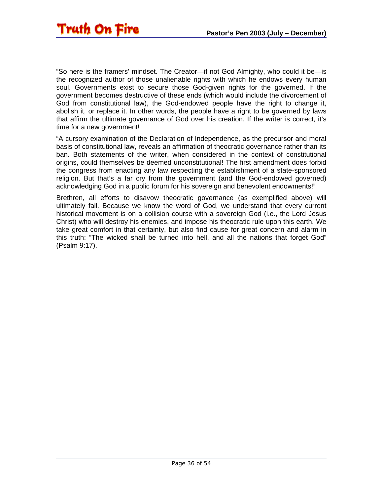"So here is the framers' mindset. The Creator—if not God Almighty, who could it be—is the recognized author of those unalienable rights with which he endows every human soul. Governments exist to secure those God-given rights for the governed. If the government becomes destructive of these ends (which would include the divorcement of God from constitutional law), the God-endowed people have the right to change it, abolish it, or replace it. In other words, the people have a right to be governed by laws that affirm the ultimate governance of God over his creation. If the writer is correct, it's time for a new government!

"A cursory examination of the Declaration of Independence, as the precursor and moral basis of constitutional law, reveals an affirmation of theocratic governance rather than its ban. Both statements of the writer, when considered in the context of constitutional origins, could themselves be deemed unconstitutional! The first amendment does forbid the congress from enacting any law respecting the establishment of a state-sponsored religion. But that's a far cry from the government (and the God-endowed governed) acknowledging God in a public forum for his sovereign and benevolent endowments!"

Brethren, all efforts to disavow theocratic governance (as exemplified above) will ultimately fail. Because we know the word of God, we understand that every current historical movement is on a collision course with a sovereign God (i.e., the Lord Jesus Christ) who will destroy his enemies, and impose his theocratic rule upon this earth. We take great comfort in that certainty, but also find cause for great concern and alarm in this truth: "The wicked shall be turned into hell, and all the nations that forget God" (Psalm 9:17).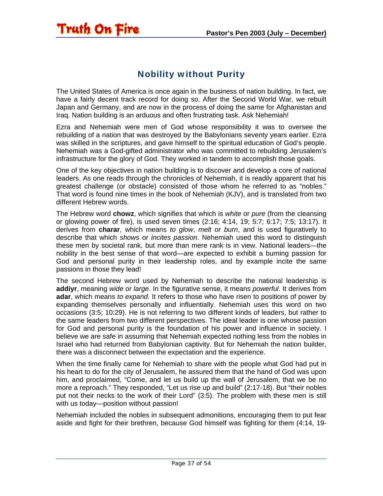#### Nobility without Purity

<span id="page-36-0"></span>**Truth On Fire** 

The United States of America is once again in the business of nation building. In fact, we have a fairly decent track record for doing so. After the Second World War, we rebuilt Japan and Germany, and are now in the process of doing the same for Afghanistan and Iraq. Nation building is an arduous and often frustrating task. Ask Nehemiah!

Ezra and Nehemiah were men of God whose responsibility it was to oversee the rebuilding of a nation that was destroyed by the Babylonians seventy years earlier. Ezra was skilled in the scriptures, and gave himself to the spiritual education of God's people. Nehemiah was a God-gifted administrator who was committed to rebuilding Jerusalem's infrastructure for the glory of God. They worked in tandem to accomplish those goals.

One of the key objectives in nation building is to discover and develop a core of national leaders. As one reads through the chronicles of Nehemiah, it is readily apparent that his greatest challenge (or obstacle) consisted of those whom he referred to as "nobles." That word is found nine times in the book of Nehemiah (KJV), and is translated from two different Hebrew words.

The Hebrew word **chowz**, which signifies that which is *white* or *pure* (from the cleansing or glowing power of fire), is used seven times (2:16; 4:14, 19; 5:7; 6:17; 7:5; 13:17). It derives from **charar**, which means *to glow*, *melt* or *burn*, and is used figuratively to describe that which *shows* or *incites passion*. Nehemiah used this word to distinguish these men by societal rank, but more than mere rank is in view. National leaders—the nobility in the best sense of that word—are expected to exhibit a burning passion for God and personal purity in their leadership roles, and by example incite the same passions in those they lead!

The second Hebrew word used by Nehemiah to describe the national leadership is **addiyr**, meaning *wide* or *large*. In the figurative sense, it means *powerful*. It derives from **adar**, which means *to expand*. It refers to those who have risen to positions of power by expanding themselves personally and influentially. Nehemiah uses this word on two occasions (3:5; 10:29). He is not referring to two different kinds of leaders, but rather to the same leaders from two different perspectives. The ideal leader is one whose passion for God and personal purity is the foundation of his power and influence in society. I believe we are safe in assuming that Nehemiah expected nothing less from the nobles in Israel who had returned from Babylonian captivity. But for Nehemiah the nation builder, there was a disconnect between the expectation and the experience.

When the time finally came for Nehemiah to share with the people what God had put in his heart to do for the city of Jerusalem, he assured them that the hand of God was upon him, and proclaimed, "Come, and let us build up the wall of Jerusalem, that we be no more a reproach." They responded, "Let us rise up and build" (2:17-18). But "their nobles put not their necks to the work of their Lord" (3:5). The problem with these men is still with us today—position without passion!

Nehemiah included the nobles in subsequent admonitions, encouraging them to put fear aside and fight for their brethren, because God himself was fighting for them (4:14, 19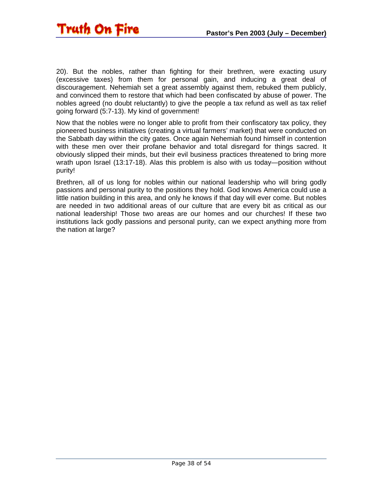20). But the nobles, rather than fighting for their brethren, were exacting usury (excessive taxes) from them for personal gain, and inducing a great deal of discouragement. Nehemiah set a great assembly against them, rebuked them publicly, and convinced them to restore that which had been confiscated by abuse of power. The nobles agreed (no doubt reluctantly) to give the people a tax refund as well as tax relief going forward (5:7-13). My kind of government!

Now that the nobles were no longer able to profit from their confiscatory tax policy, they pioneered business initiatives (creating a virtual farmers' market) that were conducted on the Sabbath day within the city gates. Once again Nehemiah found himself in contention with these men over their profane behavior and total disregard for things sacred. It obviously slipped their minds, but their evil business practices threatened to bring more wrath upon Israel (13:17-18). Alas this problem is also with us today—position without purity!

Brethren, all of us long for nobles within our national leadership who will bring godly passions and personal purity to the positions they hold. God knows America could use a little nation building in this area, and only he knows if that day will ever come. But nobles are needed in two additional areas of our culture that are every bit as critical as our national leadership! Those two areas are our homes and our churches! If these two institutions lack godly passions and personal purity, can we expect anything more from the nation at large?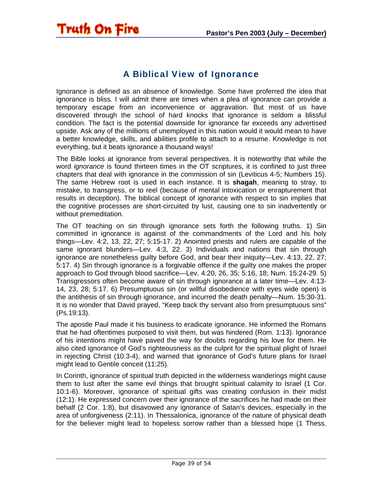

<span id="page-38-0"></span>**Truth On Fire** 

#### A Biblical View of Ignorance

Ignorance is defined as an absence of knowledge. Some have proferred the idea that ignorance is bliss. I will admit there are times when a plea of ignorance can provide a temporary escape from an inconvenience or aggravation. But most of us have discovered through the school of hard knocks that ignorance is seldom a blissful condition. The fact is the potential downside for ignorance far exceeds any advertised upside. Ask any of the millions of unemployed in this nation would it would mean to have a better knowledge, skills, and abilities profile to attach to a resume. Knowledge is not everything, but it beats ignorance a thousand ways!

The Bible looks at ignorance from several perspectives. It is noteworthy that while the word *ignorance* is found thirteen times in the OT scriptures, it is confined to just three chapters that deal with ignorance in the commission of sin (Leviticus 4-5; Numbers 15). The same Hebrew root is used in each instance. It is **shagah**, meaning to stray, to mistake, to transgress, or to reel (because of mental intoxication or enrapturement that results in deception). The biblical concept of ignorance with respect to sin implies that the cognitive processes are short-circuited by lust, causing one to sin inadvertently or without premeditation.

The OT teaching on sin through ignorance sets forth the following truths. 1) Sin committed in ignorance is against of the commandments of the Lord and his holy things—Lev. 4:2, 13, 22, 27; 5:15-17. 2) Anointed priests and rulers are capable of the same ignorant blunders—Lev. 4:3, 22. 3) Individuals and nations that sin through ignorance are nonetheless guilty before God, and bear their iniquity—Lev. 4:13, 22, 27; 5:17. 4) Sin through ignorance is a forgivable offence if the guilty one makes the proper approach to God through blood sacrifice—Lev. 4:20, 26, 35; 5:16, 18; Num. 15:24-29. 5) Transgressors often become aware of sin through ignorance at a later time—Lev. 4:13- 14, 23, 28; 5:17. 6) Presumptuous sin (or willful disobedience with eyes wide open) is the antithesis of sin through ignorance, and incurred the death penalty—Num. 15:30-31. It is no wonder that David prayed, "Keep back thy servant also from presumptuous sins" (Ps.19:13).

The apostle Paul made it his business to eradicate ignorance. He informed the Romans that he had oftentimes purposed to visit them, but was hindered (Rom. 1:13). Ignorance of his intentions might have paved the way for doubts regarding his love for them. He also cited ignorance of God's righteousness as the culprit for the spiritual plight of Israel in rejecting Christ (10:3-4), and warned that ignorance of God's future plans for Israel might lead to Gentile conceit (11:25).

In Corinth, ignorance of spiritual truth depicted in the wilderness wanderings might cause them to lust after the same evil things that brought spiritual calamity to Israel (1 Cor. 10:1-6). Moreover, ignorance of spiritual gifts was creating confusion in their midst (12:1). He expressed concern over their ignorance of the sacrifices he had made on their behalf (2 Cor. 1:8), but disavowed any ignorance of Satan's devices, especially in the area of unforgiveness (2:11). In Thessalonica, ignorance of the nature of physical death for the believer might lead to hopeless sorrow rather than a blessed hope (1 Thess.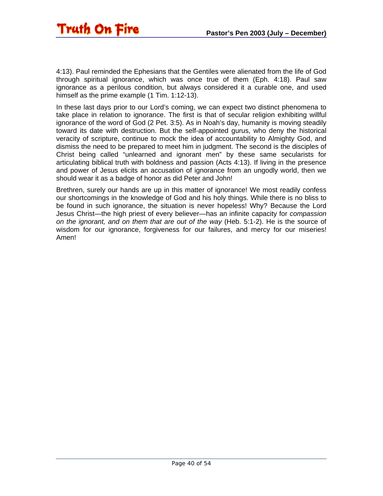4:13). Paul reminded the Ephesians that the Gentiles were alienated from the life of God through spiritual ignorance, which was once true of them (Eph. 4:18). Paul saw ignorance as a perilous condition, but always considered it a curable one, and used himself as the prime example (1 Tim. 1:12-13).

In these last days prior to our Lord's coming, we can expect two distinct phenomena to take place in relation to ignorance. The first is that of secular religion exhibiting willful ignorance of the word of God (2 Pet. 3:5). As in Noah's day, humanity is moving steadily toward its date with destruction. But the self-appointed gurus, who deny the historical veracity of scripture, continue to mock the idea of accountability to Almighty God, and dismiss the need to be prepared to meet him in judgment. The second is the disciples of Christ being called "unlearned and ignorant men" by these same secularists for articulating biblical truth with boldness and passion (Acts 4:13). If living in the presence and power of Jesus elicits an accusation of ignorance from an ungodly world, then we should wear it as a badge of honor as did Peter and John!

Brethren, surely our hands are up in this matter of ignorance! We most readily confess our shortcomings in the knowledge of God and his holy things. While there is no bliss to be found in such ignorance, the situation is never hopeless! Why? Because the Lord Jesus Christ—the high priest of every believer—has an infinite capacity for *compassion on the ignorant, and on them that are out of the way* (Heb. 5:1-2). He is the source of wisdom for our ignorance, forgiveness for our failures, and mercy for our miseries! Amen!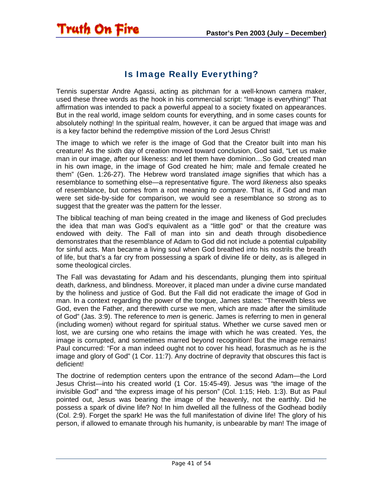#### Is Image Really Everything?

<span id="page-40-0"></span>**Truth On Fire** 

Tennis superstar Andre Agassi, acting as pitchman for a well-known camera maker, used these three words as the hook in his commercial script: "Image is everything!" That affirmation was intended to pack a powerful appeal to a society fixated on appearances. But in the real world, image seldom counts for everything, and in some cases counts for absolutely nothing! In the spiritual realm, however, it can be argued that image was and is a key factor behind the redemptive mission of the Lord Jesus Christ!

The image to which we refer is the image of God that the Creator built into man his creature! As the sixth day of creation moved toward conclusion, God said, "Let us make man in our image, after our likeness: and let them have dominion…So God created man in his own image, in the image of God created he him; male and female created he them" (Gen. 1:26-27). The Hebrew word translated *image* signifies that which has a resemblance to something else—a representative figure. The word *likeness* also speaks of resemblance, but comes from a root meaning *to compare*. That is, if God and man were set side-by-side for comparison, we would see a resemblance so strong as to suggest that the greater was the pattern for the lesser.

The biblical teaching of man being created in the image and likeness of God precludes the idea that man was God's equivalent as a "little god" or that the creature was endowed with deity. The Fall of man into sin and death through disobedience demonstrates that the resemblance of Adam to God did not include a potential culpability for sinful acts. Man became a living soul when God breathed into his nostrils the breath of life, but that's a far cry from possessing a spark of divine life or deity, as is alleged in some theological circles.

The Fall was devastating for Adam and his descendants, plunging them into spiritual death, darkness, and blindness. Moreover, it placed man under a divine curse mandated by the holiness and justice of God. But the Fall did not eradicate the image of God in man. In a context regarding the power of the tongue, James states: "Therewith bless we God, even the Father, and therewith curse we men, which are made after the similitude of God" (Jas. 3:9). The reference to *men* is generic. James is referring to men in general (including women) without regard for spiritual status. Whether we curse saved men or lost, we are cursing one who retains the image with which he was created. Yes, the image is corrupted, and sometimes marred beyond recognition! But the image remains! Paul concurred: "For a man indeed ought not to cover his head, forasmuch as he is the image and glory of God" (1 Cor. 11:7). Any doctrine of depravity that obscures this fact is deficient!

The doctrine of redemption centers upon the entrance of the second Adam—the Lord Jesus Christ—into his created world (1 Cor. 15:45-49). Jesus was "the image of the invisible God" and "the express image of his person" (Col. 1:15; Heb. 1:3). But as Paul pointed out, Jesus was bearing the image of the heavenly, not the earthly. Did he possess a spark of divine life? No! In him dwelled all the fullness of the Godhead bodily (Col. 2:9). Forget the spark! He was the full manifestation of divine life! The glory of his person, if allowed to emanate through his humanity, is unbearable by man! The image of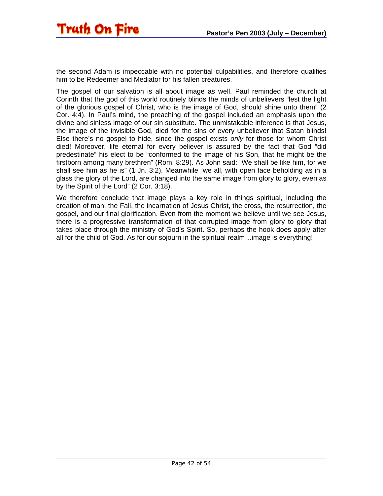the second Adam is impeccable with no potential culpabilities, and therefore qualifies him to be Redeemer and Mediator for his fallen creatures.

The gospel of our salvation is all about image as well. Paul reminded the church at Corinth that the god of this world routinely blinds the minds of unbelievers "lest the light of the glorious gospel of Christ, who is the image of God, should shine unto them" (2 Cor. 4:4). In Paul's mind, the preaching of the gospel included an emphasis upon the divine and sinless image of our sin substitute. The unmistakable inference is that Jesus, the image of the invisible God, died for the sins of every unbeliever that Satan blinds! Else there's no gospel to hide, since the gospel exists *only* for those for whom Christ died! Moreover, life eternal for every believer is assured by the fact that God "did predestinate" his elect to be "conformed to the image of his Son, that he might be the firstborn among many brethren" (Rom. 8:29). As John said: "We shall be like him, for we shall see him as he is" (1 Jn. 3:2). Meanwhile "we all, with open face beholding as in a glass the glory of the Lord, are changed into the same image from glory to glory, even as by the Spirit of the Lord" (2 Cor. 3:18).

We therefore conclude that image plays a key role in things spiritual, including the creation of man, the Fall, the incarnation of Jesus Christ, the cross, the resurrection, the gospel, and our final glorification. Even from the moment we believe until we see Jesus, there is a progressive transformation of that corrupted image from glory to glory that takes place through the ministry of God's Spirit. So, perhaps the hook does apply after all for the child of God. As for our sojourn in the spiritual realm…image is everything!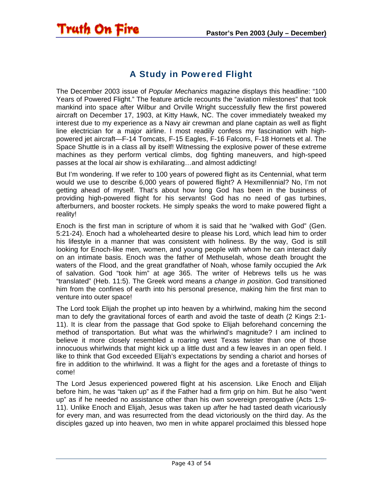#### A Study in Powered Flight

<span id="page-42-0"></span>**Truth On Fire** 

The December 2003 issue of *Popular Mechanics* magazine displays this headline: "100 Years of Powered Flight." The feature article recounts the "aviation milestones" that took mankind into space after Wilbur and Orville Wright successfully flew the first powered aircraft on December 17, 1903, at Kitty Hawk, NC. The cover immediately tweaked my interest due to my experience as a Navy air crewman and plane captain as well as flight line electrician for a major airline. I most readily confess my fascination with highpowered jet aircraft—F-14 Tomcats, F-15 Eagles, F-16 Falcons, F-18 Hornets et al. The Space Shuttle is in a class all by itself! Witnessing the explosive power of these extreme machines as they perform vertical climbs, dog fighting maneuvers, and high-speed passes at the local air show is exhilarating…and almost addicting!

But I'm wondering. If we refer to 100 years of powered flight as its Centennial, what term would we use to describe 6,000 years of powered flight? A Hexmillennial? No, I'm not getting ahead of myself. That's about how long God has been in the business of providing high-powered flight for his servants! God has no need of gas turbines, afterburners, and booster rockets. He simply speaks the word to make powered flight a reality!

Enoch is the first man in scripture of whom it is said that he "walked with God" (Gen. 5:21-24). Enoch had a wholehearted desire to please his Lord, which lead him to order his lifestyle in a manner that was consistent with holiness. By the way, God is still looking for Enoch-like men, women, and young people with whom he can interact daily on an intimate basis. Enoch was the father of Methuselah, whose death brought the waters of the Flood, and the great grandfather of Noah, whose family occupied the Ark of salvation. God "took him" at age 365. The writer of Hebrews tells us he was "translated" (Heb. 11:5). The Greek word means *a change in position*. God transitioned him from the confines of earth into his personal presence, making him the first man to venture into outer space!

The Lord took Elijah the prophet up into heaven by a whirlwind, making him the second man to defy the gravitational forces of earth and avoid the taste of death (2 Kings 2:1- 11). It is clear from the passage that God spoke to Elijah beforehand concerning the method of transportation. But what was the whirlwind's magnitude? I am inclined to believe it more closely resembled a roaring west Texas twister than one of those innocuous whirlwinds that might kick up a little dust and a few leaves in an open field. I like to think that God exceeded Elijah's expectations by sending a chariot and horses of fire in addition to the whirlwind. It was a flight for the ages and a foretaste of things to come!

The Lord Jesus experienced powered flight at his ascension. Like Enoch and Elijah before him, he was "taken up" as if the Father had a firm grip on him. But he also "went up" as if he needed no assistance other than his own sovereign prerogative (Acts 1:9- 11). Unlike Enoch and Elijah, Jesus was taken up *after* he had tasted death vicariously for every man, and was resurrected from the dead victoriously on the third day. As the disciples gazed up into heaven, two men in white apparel proclaimed this blessed hope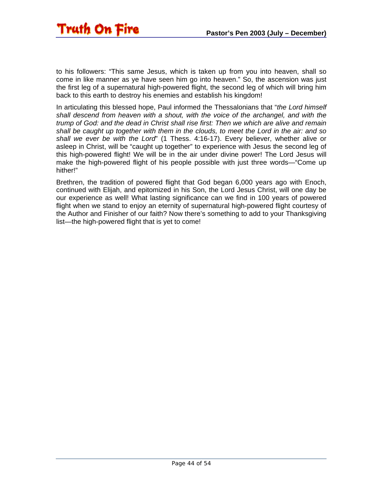

to his followers: "This same Jesus, which is taken up from you into heaven, shall so come in like manner as ye have seen him go into heaven." So, the ascension was just the first leg of a supernatural high-powered flight, the second leg of which will bring him back to this earth to destroy his enemies and establish his kingdom!

In articulating this blessed hope, Paul informed the Thessalonians that "*the Lord himself shall descend from heaven with a shout, with the voice of the archangel, and with the trump of God: and the dead in Christ shall rise first: Then we which are alive and remain shall be caught up together with them in the clouds, to meet the Lord in the air: and so shall we ever be with the Lord*" (1 Thess. 4:16-17). Every believer, whether alive or asleep in Christ, will be "caught up together" to experience with Jesus the second leg of this high-powered flight! We will be in the air under divine power! The Lord Jesus will make the high-powered flight of his people possible with just three words—"Come up hither!"

Brethren, the tradition of powered flight that God began 6,000 years ago with Enoch, continued with Elijah, and epitomized in his Son, the Lord Jesus Christ, will one day be our experience as well! What lasting significance can we find in 100 years of powered flight when we stand to enjoy an eternity of supernatural high-powered flight courtesy of the Author and Finisher of our faith? Now there's something to add to your Thanksgiving list—the high-powered flight that is yet to come!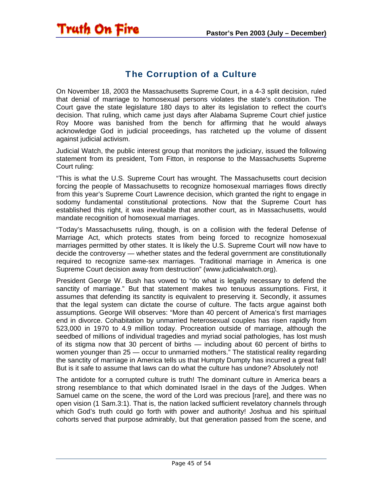#### The Corruption of a Culture

<span id="page-44-0"></span>**Truth On Fire** 

On November 18, 2003 the Massachusetts Supreme Court, in a 4-3 split decision, ruled that denial of marriage to homosexual persons violates the state's constitution. The Court gave the state legislature 180 days to alter its legislation to reflect the court's decision. That ruling, which came just days after Alabama Supreme Court chief justice Roy Moore was banished from the bench for affirming that he would always acknowledge God in judicial proceedings, has ratcheted up the volume of dissent against judicial activism.

Judicial Watch, the public interest group that monitors the judiciary, issued the following statement from its president, Tom Fitton, in response to the Massachusetts Supreme Court ruling:

"This is what the U.S. Supreme Court has wrought. The Massachusetts court decision forcing the people of Massachusetts to recognize homosexual marriages flows directly from this year's Supreme Court Lawrence decision, which granted the right to engage in sodomy fundamental constitutional protections. Now that the Supreme Court has established this right, it was inevitable that another court, as in Massachusetts, would mandate recognition of homosexual marriages.

"Today's Massachusetts ruling, though, is on a collision with the federal Defense of Marriage Act, which protects states from being forced to recognize homosexual marriages permitted by other states. It is likely the U.S. Supreme Court will now have to decide the controversy — whether states and the federal government are constitutionally required to recognize same-sex marriages. Traditional marriage in America is one Supreme Court decision away from destruction" (www.judicialwatch.org).

President George W. Bush has vowed to "do what is legally necessary to defend the sanctity of marriage." But that statement makes two tenuous assumptions. First, it assumes that defending its sanctity is equivalent to preserving it. Secondly, it assumes that the legal system can dictate the course of culture. The facts argue against both assumptions. George Will observes: "More than 40 percent of America's first marriages end in divorce. Cohabitation by unmarried heterosexual couples has risen rapidly from 523,000 in 1970 to 4.9 million today. Procreation outside of marriage, although the seedbed of millions of individual tragedies and myriad social pathologies, has lost mush of its stigma now that 30 percent of births — including about 60 percent of births to women younger than 25 — occur to unmarried mothers." The statistical reality regarding the sanctity of marriage in America tells us that Humpty Dumpty has incurred a great fall! But is it safe to assume that laws can do what the culture has undone? Absolutely not!

The antidote for a corrupted culture is truth! The dominant culture in America bears a strong resemblance to that which dominated Israel in the days of the Judges. When Samuel came on the scene, the word of the Lord was precious [rare], and there was no open vision (1 Sam.3:1). That is, the nation lacked sufficient revelatory channels through which God's truth could go forth with power and authority! Joshua and his spiritual cohorts served that purpose admirably, but that generation passed from the scene, and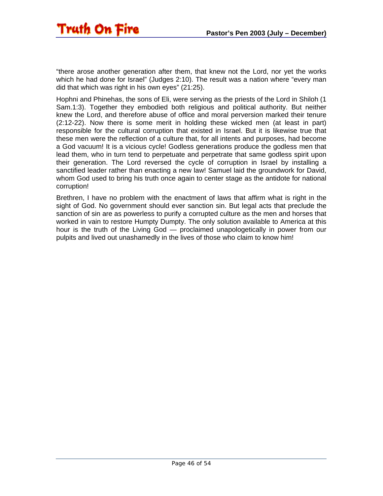"there arose another generation after them, that knew not the Lord, nor yet the works which he had done for Israel" (Judges 2:10). The result was a nation where "every man did that which was right in his own eyes" (21:25).

Hophni and Phinehas, the sons of Eli, were serving as the priests of the Lord in Shiloh (1 Sam.1:3). Together they embodied both religious and political authority. But neither knew the Lord, and therefore abuse of office and moral perversion marked their tenure (2:12-22). Now there is some merit in holding these wicked men (at least in part) responsible for the cultural corruption that existed in Israel. But it is likewise true that these men were the reflection of a culture that, for all intents and purposes, had become a God vacuum! It is a vicious cycle! Godless generations produce the godless men that lead them, who in turn tend to perpetuate and perpetrate that same godless spirit upon their generation. The Lord reversed the cycle of corruption in Israel by installing a sanctified leader rather than enacting a new law! Samuel laid the groundwork for David, whom God used to bring his truth once again to center stage as the antidote for national corruption!

Brethren, I have no problem with the enactment of laws that affirm what is right in the sight of God. No government should ever sanction sin. But legal acts that preclude the sanction of sin are as powerless to purify a corrupted culture as the men and horses that worked in vain to restore Humpty Dumpty. The only solution available to America at this hour is the truth of the Living God — proclaimed unapologetically in power from our pulpits and lived out unashamedly in the lives of those who claim to know him!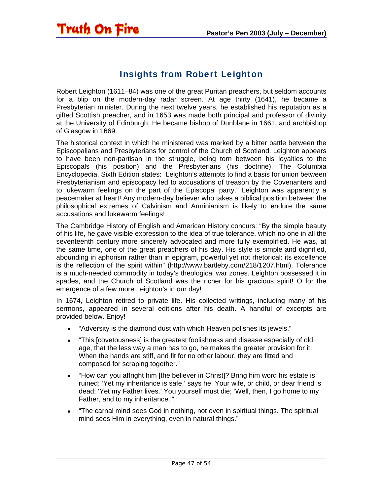

<span id="page-46-0"></span>Truth On Fire

Robert Leighton (1611–84) was one of the great Puritan preachers, but seldom accounts for a blip on the modern-day radar screen. At age thirty (1641), he became a Presbyterian minister. During the next twelve years, he established his reputation as a gifted Scottish preacher, and in 1653 was made both principal and professor of divinity at the University of Edinburgh. He became bishop of Dunblane in 1661, and archbishop of Glasgow in 1669.

The historical context in which he ministered was marked by a bitter battle between the Episcopalians and Presbyterians for control of the Church of Scotland. Leighton appears to have been non-partisan in the struggle, being torn between his loyalties to the Episcopals (his position) and the Presbyterians (his doctrine). The Columbia Encyclopedia, Sixth Edition states: "Leighton's attempts to find a basis for union between Presbyterianism and episcopacy led to accusations of treason by the Covenanters and to lukewarm feelings on the part of the Episcopal party." Leighton was apparently a peacemaker at heart! Any modern-day believer who takes a biblical position between the philosophical extremes of Calvinism and Arminianism is likely to endure the same accusations and lukewarm feelings!

The Cambridge History of English and American History concurs: "By the simple beauty of his life, he gave visible expression to the idea of true tolerance, which no one in all the seventeenth century more sincerely advocated and more fully exemplified. He was, at the same time, one of the great preachers of his day. His style is simple and dignified, abounding in aphorism rather than in epigram, powerful yet not rhetorical: its excellence is the reflection of the spirit within" (http://www.bartleby.com/218/1207.html). Tolerance is a much-needed commodity in today's theological war zones. Leighton possessed it in spades, and the Church of Scotland was the richer for his gracious spirit! O for the emergence of a few more Leighton's in our day!

In 1674, Leighton retired to private life. His collected writings, including many of his sermons, appeared in several editions after his death. A handful of excerpts are provided below. Enjoy!

- "Adversity is the diamond dust with which Heaven polishes its jewels."
- "This [covetousness] is the greatest foolishness and disease especially of old age, that the less way a man has to go, he makes the greater provision for it. When the hands are stiff, and fit for no other labour, they are fitted and composed for scraping together."
- "How can you affright him [the believer in Christ]? Bring him word his estate is ruined; 'Yet my inheritance is safe,' says he. Your wife, or child, or dear friend is dead; 'Yet my Father lives.' You yourself must die; 'Well, then, I go home to my Father, and to my inheritance.'"
- "The carnal mind sees God in nothing, not even in spiritual things. The spiritual mind sees Him in everything, even in natural things."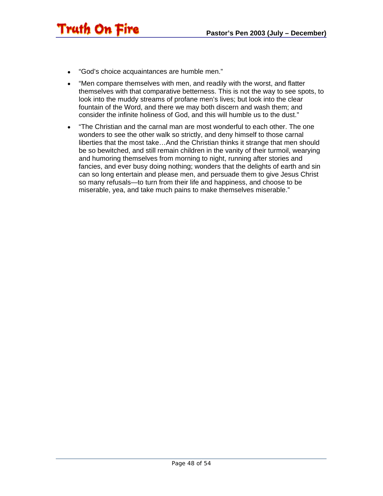• "God's choice acquaintances are humble men."

Truth On Fire

- "Men compare themselves with men, and readily with the worst, and flatter themselves with that comparative betterness. This is not the way to see spots, to look into the muddy streams of profane men's lives; but look into the clear fountain of the Word, and there we may both discern and wash them; and consider the infinite holiness of God, and this will humble us to the dust."
- "The Christian and the carnal man are most wonderful to each other. The one wonders to see the other walk so strictly, and deny himself to those carnal liberties that the most take…And the Christian thinks it strange that men should be so bewitched, and still remain children in the vanity of their turmoil, wearying and humoring themselves from morning to night, running after stories and fancies, and ever busy doing nothing; wonders that the delights of earth and sin can so long entertain and please men, and persuade them to give Jesus Christ so many refusals—to turn from their life and happiness, and choose to be miserable, yea, and take much pains to make themselves miserable."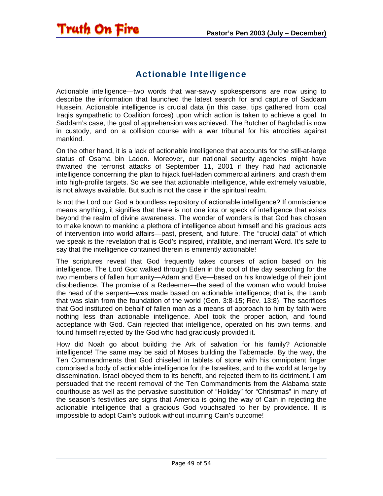#### Actionable Intelligence

<span id="page-48-0"></span>Truth On Fire

Actionable intelligence—two words that war-savvy spokespersons are now using to describe the information that launched the latest search for and capture of Saddam Hussein. Actionable intelligence is crucial data (in this case, tips gathered from local Iraqis sympathetic to Coalition forces) upon which action is taken to achieve a goal. In Saddam's case, the goal of apprehension was achieved. The Butcher of Baghdad is now in custody, and on a collision course with a war tribunal for his atrocities against mankind.

On the other hand, it is a lack of actionable intelligence that accounts for the still-at-large status of Osama bin Laden. Moreover, our national security agencies might have thwarted the terrorist attacks of September 11, 2001 if they had had actionable intelligence concerning the plan to hijack fuel-laden commercial airliners, and crash them into high-profile targets. So we see that actionable intelligence, while extremely valuable, is not always available. But such is not the case in the spiritual realm.

Is not the Lord our God a boundless repository of actionable intelligence? If omniscience means anything, it signifies that there is not one iota or speck of intelligence that exists beyond the realm of divine awareness. The wonder of wonders is that God has chosen to make known to mankind a plethora of intelligence about himself and his gracious acts of intervention into world affairs—past, present, and future. The "crucial data" of which we speak is the revelation that is God's inspired, infallible, and inerrant Word. It's safe to say that the intelligence contained therein is eminently actionable!

The scriptures reveal that God frequently takes courses of action based on his intelligence. The Lord God walked through Eden in the cool of the day searching for the two members of fallen humanity—Adam and Eve—based on his knowledge of their joint disobedience. The promise of a Redeemer—the seed of the woman who would bruise the head of the serpent—was made based on actionable intelligence; that is, the Lamb that was slain from the foundation of the world (Gen. 3:8-15; Rev. 13:8). The sacrifices that God instituted on behalf of fallen man as a means of approach to him by faith were nothing less than actionable intelligence. Abel took the proper action, and found acceptance with God. Cain rejected that intelligence, operated on his own terms, and found himself rejected by the God who had graciously provided it.

How did Noah go about building the Ark of salvation for his family? Actionable intelligence! The same may be said of Moses building the Tabernacle. By the way, the Ten Commandments that God chiseled in tablets of stone with his omnipotent finger comprised a body of actionable intelligence for the Israelites, and to the world at large by dissemination. Israel obeyed them to its benefit, and rejected them to its detriment. I am persuaded that the recent removal of the Ten Commandments from the Alabama state courthouse as well as the pervasive substitution of "Holiday" for "Christmas" in many of the season's festivities are signs that America is going the way of Cain in rejecting the actionable intelligence that a gracious God vouchsafed to her by providence. It is impossible to adopt Cain's outlook without incurring Cain's outcome!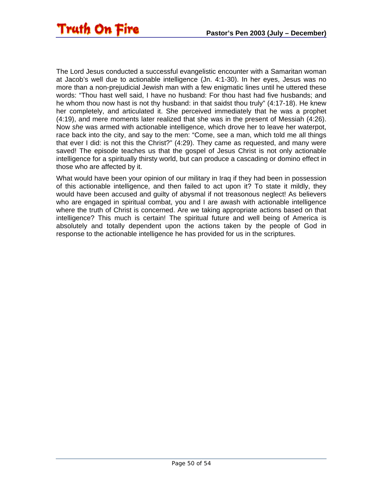The Lord Jesus conducted a successful evangelistic encounter with a Samaritan woman at Jacob's well due to actionable intelligence (Jn. 4:1-30). In her eyes, Jesus was no more than a non-prejudicial Jewish man with a few enigmatic lines until he uttered these words: "Thou hast well said, I have no husband: For thou hast had five husbands; and he whom thou now hast is not thy husband: in that saidst thou truly" (4:17-18). He knew her completely, and articulated it. She perceived immediately that he was a prophet (4:19), and mere moments later realized that she was in the present of Messiah (4:26). Now *she* was armed with actionable intelligence, which drove her to leave her waterpot, race back into the city, and say to the men: "Come, see a man, which told me all things that ever I did: is not this the Christ?" (4:29). They came as requested, and many were saved! The episode teaches us that the gospel of Jesus Christ is not only actionable intelligence for a spiritually thirsty world, but can produce a cascading or domino effect in those who are affected by it.

What would have been your opinion of our military in Iraq if they had been in possession of this actionable intelligence, and then failed to act upon it? To state it mildly, they would have been accused and guilty of abysmal if not treasonous neglect! As believers who are engaged in spiritual combat, you and I are awash with actionable intelligence where the truth of Christ is concerned. Are we taking appropriate actions based on that intelligence? This much is certain! The spiritual future and well being of America is absolutely and totally dependent upon the actions taken by the people of God in response to the actionable intelligence he has provided for us in the scriptures.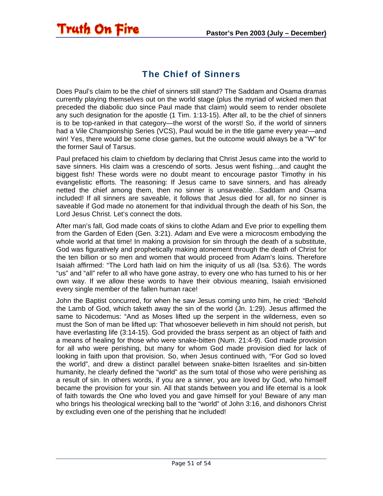#### The Chief of Sinners

<span id="page-50-0"></span>**Truth On Fire** 

Does Paul's claim to be the chief of sinners still stand? The Saddam and Osama dramas currently playing themselves out on the world stage (plus the myriad of wicked men that preceded the diabolic duo since Paul made that claim) would seem to render obsolete any such designation for the apostle (1 Tim. 1:13-15). After all, to be the chief of sinners is to be top-ranked in that category—the worst of the worst! So, if the world of sinners had a Vile Championship Series (VCS), Paul would be in the title game every year—and win! Yes, there would be some close games, but the outcome would always be a "W" for the former Saul of Tarsus.

Paul prefaced his claim to chiefdom by declaring that Christ Jesus came into the world to save sinners. His claim was a crescendo of sorts. Jesus went fishing…and caught the biggest fish! These words were no doubt meant to encourage pastor Timothy in his evangelistic efforts. The reasoning: If Jesus came to save sinners, and has already netted the chief among them, then no sinner is unsaveable…Saddam and Osama included! If all sinners are saveable, it follows that Jesus died for all, for no sinner is saveable if God made no atonement for that individual through the death of his Son, the Lord Jesus Christ. Let's connect the dots.

After man's fall, God made coats of skins to clothe Adam and Eve prior to expelling them from the Garden of Eden (Gen. 3:21). Adam and Eve were a microcosm embodying the whole world at that time! In making a provision for sin through the death of a substitute, God was figuratively and prophetically making atonement through the death of Christ for the ten billion or so men and women that would proceed from Adam's loins. Therefore Isaiah affirmed: "The Lord hath laid on him the iniquity of us all (Isa. 53:6). The words "us" and "all" refer to all who have gone astray, to every one who has turned to his or her own way. If we allow these words to have their obvious meaning, Isaiah envisioned every single member of the fallen human race!

John the Baptist concurred, for when he saw Jesus coming unto him, he cried: "Behold the Lamb of God, which taketh away the sin of the world (Jn. 1:29). Jesus affirmed the same to Nicodemus: "And as Moses lifted up the serpent in the wilderness, even so must the Son of man be lifted up: That whosoever believeth in him should not perish, but have everlasting life (3:14-15). God provided the brass serpent as an object of faith and a means of healing for those who were snake-bitten (Num. 21:4-9). God made provision for all who were perishing, but many for whom God made provision died for lack of looking in faith upon that provision. So, when Jesus continued with, "For God so loved the world", and drew a distinct parallel between snake-bitten Israelites and sin-bitten humanity, he clearly defined the "world" as the sum total of those who were perishing as a result of sin. In others words, if you are a sinner, you are loved by God, who himself became the provision for your sin. All that stands between you and life eternal is a look of faith towards the One who loved you and gave himself for you! Beware of any man who brings his theological wrecking ball to the "world" of John 3:16, and dishonors Christ by excluding even one of the perishing that he included!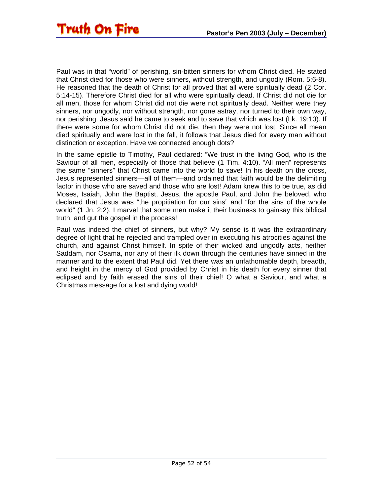Paul was in that "world" of perishing, sin-bitten sinners for whom Christ died. He stated that Christ died for those who were sinners, without strength, and ungodly (Rom. 5:6-8). He reasoned that the death of Christ for all proved that all were spiritually dead (2 Cor. 5:14-15). Therefore Christ died for all who were spiritually dead. If Christ did not die for all men, those for whom Christ did not die were not spiritually dead. Neither were they sinners, nor ungodly, nor without strength, nor gone astray, nor turned to their own way, nor perishing. Jesus said he came to seek and to save that which was lost (Lk. 19:10). If there were some for whom Christ did not die, then they were not lost. Since all mean died spiritually and were lost in the fall, it follows that Jesus died for every man without distinction or exception. Have we connected enough dots?

In the same epistle to Timothy, Paul declared: "We trust in the living God, who is the Saviour of all men, especially of those that believe (1 Tim. 4:10). "All men" represents the same "sinners" that Christ came into the world to save! In his death on the cross, Jesus represented sinners—all of them—and ordained that faith would be the delimiting factor in those who are saved and those who are lost! Adam knew this to be true, as did Moses, Isaiah, John the Baptist, Jesus, the apostle Paul, and John the beloved, who declared that Jesus was "the propitiation for our sins" and "for the sins of the whole world" (1 Jn. 2:2). I marvel that some men make it their business to gainsay this biblical truth, and gut the gospel in the process!

Paul was indeed the chief of sinners, but why? My sense is it was the extraordinary degree of light that he rejected and trampled over in executing his atrocities against the church, and against Christ himself. In spite of their wicked and ungodly acts, neither Saddam, nor Osama, nor any of their ilk down through the centuries have sinned in the manner and to the extent that Paul did. Yet there was an unfathomable depth, breadth, and height in the mercy of God provided by Christ in his death for every sinner that eclipsed and by faith erased the sins of their chief! O what a Saviour, and what a Christmas message for a lost and dying world!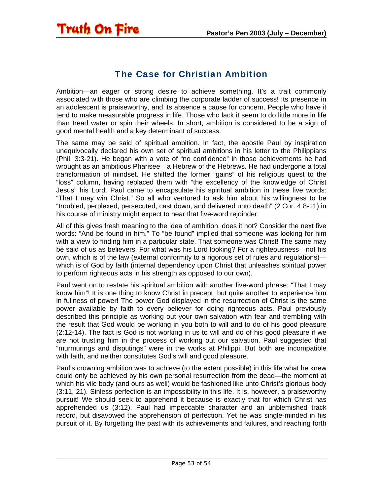<span id="page-52-0"></span>

#### The Case for Christian Ambition

Ambition—an eager or strong desire to achieve something. It's a trait commonly associated with those who are climbing the corporate ladder of success! Its presence in an adolescent is praiseworthy, and its absence a cause for concern. People who have it tend to make measurable progress in life. Those who lack it seem to do little more in life than tread water or spin their wheels. In short, ambition is considered to be a sign of good mental health and a key determinant of success.

The same may be said of spiritual ambition. In fact, the apostle Paul by inspiration unequivocally declared his own set of spiritual ambitions in his letter to the Philippians (Phil. 3:3-21). He began with a vote of "no confidence" in those achievements he had wrought as an ambitious Pharisee—a Hebrew of the Hebrews. He had undergone a total transformation of mindset. He shifted the former "gains" of his religious quest to the "loss" column, having replaced them with "the excellency of the knowledge of Christ Jesus" his Lord. Paul came to encapsulate his spiritual ambition in these five words: "That I may win Christ." So all who ventured to ask him about his willingness to be "troubled, perplexed, persecuted, cast down, and delivered unto death" (2 Cor. 4:8-11) in his course of ministry might expect to hear that five-word rejoinder.

All of this gives fresh meaning to the idea of ambition, does it not? Consider the next five words: "And be found in him." To "be found" implied that someone was looking for him with a view to finding him in a particular state. That someone was Christ! The same may be said of us as believers. For what was his Lord looking? For a righteousness—not his own, which is of the law (external conformity to a rigorous set of rules and regulations) which is of God by faith (internal dependency upon Christ that unleashes spiritual power to perform righteous acts in his strength as opposed to our own).

Paul went on to restate his spiritual ambition with another five-word phrase: "That I may know him"! It is one thing to know Christ in precept, but quite another to experience him in fullness of power! The power God displayed in the resurrection of Christ is the same power available by faith to every believer for doing righteous acts. Paul previously described this principle as working out your own salvation with fear and trembling with the result that God would be working in you both to will and to do of his good pleasure (2:12-14). The fact is God is not working in us to will and do of his good pleasure if we are not trusting him in the process of working out our salvation. Paul suggested that "murmurings and disputings" were in the works at Philippi. But both are incompatible with faith, and neither constitutes God's will and good pleasure.

Paul's crowning ambition was to achieve (to the extent possible) in this life what he knew could only be achieved by his own personal resurrection from the dead—the moment at which his vile body (and ours as well) would be fashioned like unto Christ's glorious body (3:11, 21). Sinless perfection is an impossibility in this life. It is, however, a praiseworthy pursuit! We should seek to apprehend it because is exactly that for which Christ has apprehended us (3:12). Paul had impeccable character and an unblemished track record, but disavowed the apprehension of perfection. Yet he was single-minded in his pursuit of it. By forgetting the past with its achievements and failures, and reaching forth